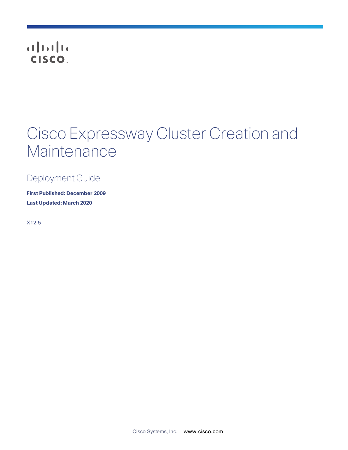## **CISCO**

# Cisco Expressway Cluster Creation and **Maintenance**

Deployment Guide

**First Published: December 2009 Last Updated: March 2020**

X12.5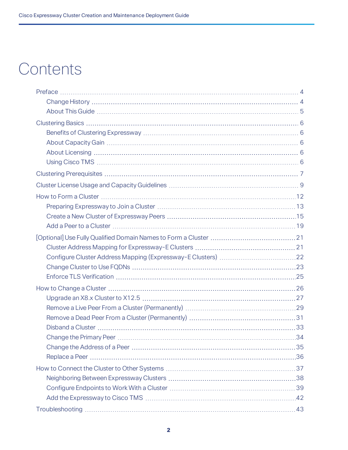# **Contents**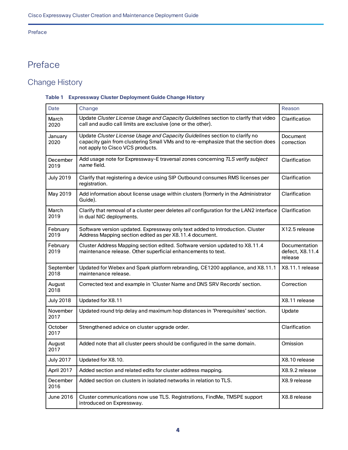## Preface

## <span id="page-3-0"></span>Preface

## <span id="page-3-1"></span>Change History

## **Table 1 Expressway Cluster Deployment Guide Change History**

| Date              | Change                                                                                                                                                                                              | Reason                                      |
|-------------------|-----------------------------------------------------------------------------------------------------------------------------------------------------------------------------------------------------|---------------------------------------------|
| March<br>2020     | Update Cluster License Usage and Capacity Guidelines section to clarify that video<br>call and audio call limits are exclusive (one or the other).                                                  | Clarification                               |
| January<br>2020   | Update Cluster License Usage and Capacity Guidelines section to clarify no<br>capacity gain from clustering Small VMs and to re-emphasize that the section does<br>not apply to Cisco VCS products. | Document<br>correction                      |
| December<br>2019  | Add usage note for Expressway-E traversal zones concerning TLS verify subject<br>name field.                                                                                                        | Clarification                               |
| <b>July 2019</b>  | Clarify that registering a device using SIP Outbound consumes RMS licenses per<br>registration.                                                                                                     | Clarification                               |
| May 2019          | Add information about license usage within clusters (formerly in the Administrator<br>Guide).                                                                                                       | Clarification                               |
| March<br>2019     | Clarify that removal of a cluster peer deletes all configuration for the LAN2 interface<br>in dual NIC deployments.                                                                                 | Clarification                               |
| February<br>2019  | Software version updated. Expressway only text added to Introduction. Cluster<br>Address Mapping section edited as per X8.11.4 document.                                                            | X12.5 release                               |
| February<br>2019  | Cluster Address Mapping section edited. Software version updated to X8.11.4<br>maintenance release. Other superficial enhancements to text.                                                         | Documentation<br>defect, X8.11.4<br>release |
| September<br>2018 | Updated for Webex and Spark platform rebranding, CE1200 appliance, and X8.11.1<br>maintenance release.                                                                                              | X8.11.1 release                             |
| August<br>2018    | Corrected text and example in 'Cluster Name and DNS SRV Records' section.                                                                                                                           | Correction                                  |
| <b>July 2018</b>  | Updated for X8.11                                                                                                                                                                                   | X8.11 release                               |
| November<br>2017  | Updated round trip delay and maximum hop distances in 'Prerequisites' section.                                                                                                                      | Update                                      |
| October<br>2017   | Strengthened advice on cluster upgrade order.                                                                                                                                                       | Clarification                               |
| August<br>2017    | Added note that all cluster peers should be configured in the same domain.                                                                                                                          | Omission                                    |
| <b>July 2017</b>  | Updated for X8.10.                                                                                                                                                                                  | X8.10 release                               |
| April 2017        | Added section and related edits for cluster address mapping.                                                                                                                                        | X8.9.2 release                              |
| December<br>2016  | Added section on clusters in isolated networks in relation to TLS.                                                                                                                                  | X8.9 release                                |
| June 2016         | Cluster communications now use TLS. Registrations, FindMe, TMSPE support<br>introduced on Expressway.                                                                                               | X8.8 release                                |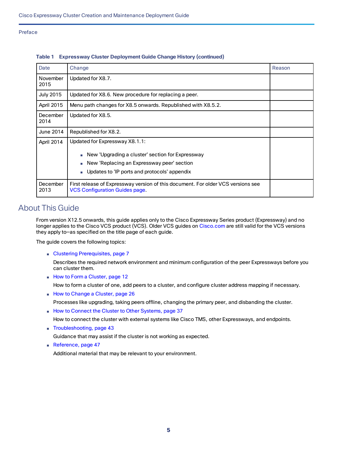## Preface

| Date             | Change                                                                                                                    | Reason |
|------------------|---------------------------------------------------------------------------------------------------------------------------|--------|
| November<br>2015 | Updated for X8.7.                                                                                                         |        |
| <b>July 2015</b> | Updated for X8.6. New procedure for replacing a peer.                                                                     |        |
| April 2015       | Menu path changes for X8.5 onwards. Republished with X8.5.2.                                                              |        |
| December<br>2014 | Updated for X8.5.                                                                                                         |        |
| June 2014        | Republished for X8.2.                                                                                                     |        |
| April 2014       | Updated for Expressway X8.1.1:                                                                                            |        |
|                  | New 'Upgrading a cluster' section for Expressway<br>ш                                                                     |        |
|                  | New 'Replacing an Expressway peer' section                                                                                |        |
|                  | ■ Updates to 'IP ports and protocols' appendix                                                                            |        |
| December<br>2013 | First release of Expressway version of this document. For older VCS versions see<br><b>VCS Configuration Guides page.</b> |        |

### **Table 1 Expressway Cluster Deployment Guide Change History (continued)**

## <span id="page-4-0"></span>About This Guide

From version X12.5 onwards, this guide applies only to the Cisco Expressway Series product (Expressway) and no longer applies to the Cisco VCS product (VCS). Older VCS guides on [Cisco.com](http://www.cisco.com/c/en/us/support/unified-communications/telepresence-video-communication-server-vcs/tsd-products-support-series-home.html) are still valid for the VCS versions they apply to—as specified on the title page of each guide.

The guide covers the following topics:

■ Clustering [Prerequisites,](#page-6-0) page 7

Describes the required network environment and minimum configuration of the peer Expressways before you can cluster them.

■ How to Form a [Cluster,](#page-11-0) page 12

How to form a cluster of one, add peers to a cluster, and configure cluster address mapping if necessary.

■ How to [Change](#page-25-0) a Cluster, page 26

Processes like upgrading, taking peers offline, changing the primary peer, and disbanding the cluster.

■ How to Connect the Cluster to Other [Systems,](#page-36-0) page 37

How to connect the cluster with external systems like Cisco TMS, other Expressways, and endpoints.

■ [Troubleshooting,](#page-42-0) page 43

Guidance that may assist if the cluster is not working as expected.

■ [Reference,](#page-46-0) page 47

Additional material that may be relevant to your environment.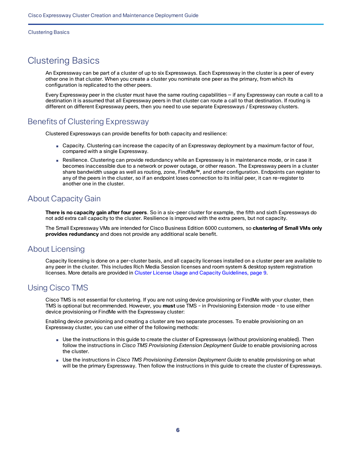Clustering Basics

## <span id="page-5-0"></span>Clustering Basics

An Expressway can be part of a cluster of up to six Expressways. Each Expressway in the cluster is a peer of every other one in that cluster. When you create a cluster you nominate one peer as the primary, from which its configuration is replicated to the other peers.

Every Expressway peer in the cluster must have the same routing capabilities — if any Expressway can route a call to a destination it is assumed that all Expressway peers in that cluster can route a call to that destination. If routing is different on different Expressway peers, then you need to use separate Expressways / Expressway clusters.

## <span id="page-5-1"></span>Benefits of Clustering Expressway

Clustered Expressways can provide benefits for both capacity and resilience:

- Capacity. Clustering can increase the capacity of an Expressway deployment by a maximum factor of four, compared with a single Expressway.
- Resilience. Clustering can provide redundancy while an Expressway is in maintenance mode, or in case it becomes inaccessible due to a network or power outage, or other reason. The Expressway peers in a cluster share bandwidth usage as well as routing, zone, FindMe™, and other configuration. Endpoints can register to any of the peers in the cluster, so if an endpoint loses connection to its initial peer, it can re-register to another one in the cluster.

## <span id="page-5-2"></span>About Capacity Gain

**There is no capacity gain after four peers**. So in a six-peer cluster for example, the fifth and sixth Expressways do not add extra call capacity to the cluster. Resilience is improved with the extra peers, but not capacity.

The Small Expressway VMs are intended for Cisco Business Edition 6000 customers, so **clustering of Small VMs only provides redundancy** and does not provide any additional scale benefit.

## <span id="page-5-3"></span>About Licensing

Capacity licensing is done on a per-cluster basis, and all capacity licenses installed on a cluster peer are available to any peer in the cluster. This includes Rich Media Session licenses and room system & desktop system registration licenses. More details are provided in Cluster License Usage and Capacity [Guidelines,](#page-8-0) page 9.

## <span id="page-5-4"></span>Using Cisco TMS

Cisco TMS is not essential for clustering. If you are not using device provisioning or FindMe with your cluster, then TMS is optional but recommended. However, you **must** use TMS - in Provisioning Extension mode - to use either device provisioning or FindMe with the Expressway cluster:

Enabling device provisioning and creating a cluster are two separate processes. To enable provisioning on an Expressway cluster, you can use either of the following methods:

- Use the instructions in this guide to create the cluster of Expressways (without provisioning enabled). Then follow the instructions in *Cisco TMS Provisioning Extension Deployment Guide* to enable provisioning across the cluster.
- Use the instructions in *Cisco TMS Provisioning Extension Deployment Guide* to enable provisioning on what will be the primary Expressway. Then follow the instructions in this guide to create the cluster of Expressways.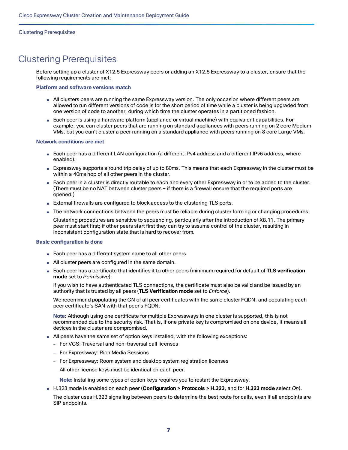#### Clustering Prerequisites

## <span id="page-6-0"></span>Clustering Prerequisites

Before setting up a cluster of X12.5 Expressway peers or adding an X12.5 Expressway to a cluster, ensure that the following requirements are met:

## **Platform and software versions match**

- All clusters peers are running the same Expressway version. The only occasion where different peers are allowed to run different versions of code is for the short period of time while a cluster is being upgraded from one version of code to another, during which time the cluster operates in a partitioned fashion.
- Each peer is using a hardware platform (appliance or virtual machine) with equivalent capabilities. For example, you can cluster peers that are running on standard appliances with peers running on 2 core Medium VMs, but you can't cluster a peer running on a standard appliance with peers running on 8 core Large VMs.

#### **Network conditions are met**

- Each peer has a different LAN configuration (a different IPv4 address and a different IPv6 address, where enabled).
- Expressway supports a round trip delay of up to 80ms. This means that each Expressway in the cluster must be within a 40ms hop of all other peers in the cluster.
- Each peer in a cluster is directly routable to each and every other Expressway in or to be added to the cluster. (There must be no NAT between cluster peers – if there is a firewall ensure that the required ports are opened.)
- External firewalls are configured to block access to the clustering TLS ports.
- The network connections between the peers must be reliable during cluster forming or changing procedures.

Clustering procedures are sensitive to sequencing, particularly after the introduction of X8.11. The primary peer must start first; if other peers start first they can try to assume control of the cluster, resulting in inconsistent configuration state that is hard to recover from.

### **Basic configuration is done**

- Each peer has a different system name to all other peers.
- All cluster peers are configured in the same domain.
- Each peer has a certificate that identifies it to other peers (minimum required for default of **TLS verification mode** set to *Permissive*).

If you wish to have authenticated TLS connections, the certificate must also be valid and be issued by an authority that is trusted by all peers (**TLS Verification mode** set to *Enforce*).

We recommend populating the CN of all peer certificates with the same cluster FQDN, and populating each peer certificate's SAN with that peer's FQDN.

**Note**: Although using one certificate for multiple Expressways in one cluster is supported, this is not recommended due to the security risk. That is, if one private key is compromised on one device, it means all devices in the cluster are compromised.

- All peers have the same set of option keys installed, with the following exceptions:
	- For VCS: Traversal and non-traversal call licenses
	- For Expressway: Rich Media Sessions
	- For Expressway: Room system and desktop system registration licenses

All other license keys must be identical on each peer.

**Note:** Installing some types of option keys requires you to restart the Expressway.

■ H.323 mode is enabled on each peer (**Configuration > Protocols > H.323**, and for **H.323 mode** select *On*).

The cluster uses H.323 signaling between peers to determine the best route for calls, even if all endpoints are SIP endpoints.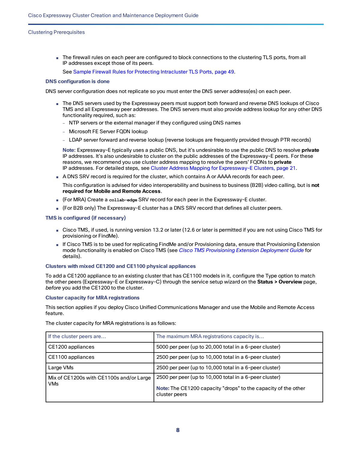#### Clustering Prerequisites

■ The firewall rules on each peer are configured to block connections to the clustering TLS ports, from all IP addresses except those of its peers.

See Sample Firewall Rules for Protecting [Intracluster](#page-48-0) TLS Ports, page 49.

### **DNS configuration is done**

DNS server configuration does not replicate so you must enter the DNS server address(es) on each peer.

- The DNS servers used by the Expressway peers must support both forward and reverse DNS lookups of Cisco TMS and all Expressway peer addresses. The DNS servers must also provide address lookup for any other DNS functionality required, such as:
	- NTP servers or the external manager if they configured using DNS names
	- Microsoft FE Server FQDN lookup
	- LDAP server forward and reverse lookup (reverse lookups are frequently provided through PTR records)

**Note**: Expressway-E typically uses a public DNS, but it's undesirable to use the public DNS to resolve **private** IP addresses. It's also undesirable to cluster on the public addresses of the Expressway-E peers. For these reasons, we recommend you use cluster address mapping to resolve the peers' FQDNs to **private** IP addresses. For detailed steps, see Cluster Address Mapping for [Expressway-E](#page-20-1) Clusters, page 21.

■ A DNS SRV record is required for the cluster, which contains A or AAAA records for each peer.

This configuration is advised for video interoperability and business to business (B2B) video calling, but is **not required for Mobile and Remote Access**.

- (For MRA) Create a **collab-edge** SRV record for each peer in the Expressway-E cluster.
- (For B2B only) The Expressway-E cluster has a DNS SRV record that defines all cluster peers.

### **TMS is configured (if necessary)**

- Cisco TMS, if used, is running version 13.2 or later (12.6 or later is permitted if you are not using Cisco TMS for provisioning or FindMe).
- If Cisco TMS is to be used for replicating FindMe and/or Provisioning data, ensure that Provisioning Extension mode functionality is enabled on Cisco TMS (see *Cisco TMS [Provisioning](http://www.cisco.com/en/US/products/ps11338/products_installation_and_configuration_guides_list.html) Extension Deployment Guide* for details).

#### **Clusters with mixed CE1200 and CE1100 physical appliances**

To add a CE1200 appliance to an existing cluster that has CE1100 models in it, configure the Type option to match the other peers (Expressway-E or Expressway-C) through the service setup wizard on the **Status > Overview** page, *before* you add the CE1200 to the cluster.

#### **Cluster capacity for MRA registrations**

This section applies if you deploy Cisco Unified Communications Manager and use the Mobile and Remote Access feature.

The cluster capacity for MRA registrations is as follows:

| If the cluster peers are                               | The maximum MRA registrations capacity is                                                                                                 |
|--------------------------------------------------------|-------------------------------------------------------------------------------------------------------------------------------------------|
| CE1200 appliances                                      | 5000 per peer (up to 20,000 total in a 6-peer cluster)                                                                                    |
| CE1100 appliances                                      | 2500 per peer (up to 10,000 total in a 6-peer cluster)                                                                                    |
| Large VMs                                              | 2500 per peer (up to 10,000 total in a 6-peer cluster)                                                                                    |
| Mix of CE1200s with CE1100s and/or Large<br><b>VMs</b> | 2500 per peer (up to 10,000 total in a 6-peer cluster)<br>Note: The CE1200 capacity "drops" to the capacity of the other<br>cluster peers |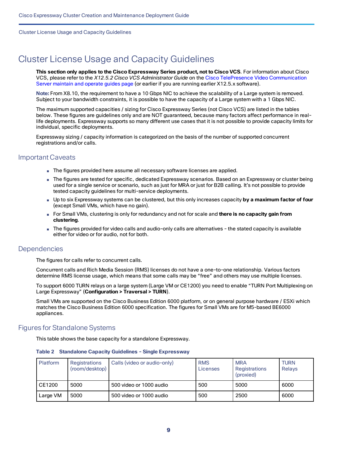Cluster License Usage and Capacity Guidelines

## <span id="page-8-0"></span>Cluster License Usage and Capacity Guidelines

**This section only applies to the Cisco Expressway Series product, not to Cisco VCS**. For information about Cisco VCS, please refer to the *X12.5.2 Cisco VCS Administrator Guide* on the Cisco TelePresence Video [Communication](https://www.cisco.com/c/en/us/support/unified-communications/telepresence-video-communication-server-vcs/products-maintenance-guides-list.html) Server [maintain](https://www.cisco.com/c/en/us/support/unified-communications/telepresence-video-communication-server-vcs/products-maintenance-guides-list.html) and operate guides page (or earlier if you are running earlier X12.5.x software).

**Note:** From X8.10, the requirement to have a 10 Gbps NIC to achieve the scalability of a Large system is removed. Subject to your bandwidth constraints, it is possible to have the capacity of a Large system with a 1 Gbps NIC.

The maximum supported capacities / sizing for Cisco Expressway Series (not Cisco VCS) are listed in the tables below. These figures are guidelines only and are NOT guaranteed, because many factors affect performance in reallife deployments. Expressway supports so many different use cases that it is not possible to provide capacity limits for individual, specific deployments.

Expressway sizing / capacity information is categorized on the basis of the number of supported concurrent registrations and/or calls.

## Important Caveats

- The figures provided here assume all necessary software licenses are applied.
- The figures are tested for specific, dedicated Expressway scenarios. Based on an Expressway or cluster being used for a single service or scenario, such as just for MRA or just for B2B calling. It's not possible to provide tested capacity guidelines for multi-service deployments.
- Up to six Expressway systems can be clustered, but this only increases capacity **by a maximum factor of four** (except Small VMs, which have no gain).
- For Small VMs, clustering is only for redundancy and not for scale and **there is no capacity gain from clustering**.
- The figures provided for video calls and audio-only calls are alternatives the stated capacity is available either for video or for audio, not for both.

## **Dependencies**

The figures for calls refer to concurrent calls.

Concurrent calls and Rich Media Session (RMS) licenses do not have a one-to-one relationship. Various factors determine RMS license usage, which means that some calls may be "free" and others may use multiple licenses.

To support 6000 TURN relays on a large system (Large VM or CE1200) you need to enable "TURN Port Multiplexing on Large Expressway" (**Configuration > Traversal > TURN**).

Small VMs are supported on the Cisco Business Edition 6000 platform, or on general purpose hardware / ESXi which matches the Cisco Business Edition 6000 specification. The figures for Small VMs are for M5-based BE6000 appliances.

## Figures for Standalone Systems

This table shows the base capacity for a standalone Expressway.

| Table 2 Standalone Capacity Guidelines - Single Expressway |  |
|------------------------------------------------------------|--|
|                                                            |  |

| <b>Platform</b> | Registrations<br>(room/desktop) | Calls (video or audio-only) | <b>RMS</b><br>Licenses | <b>MRA</b><br><b>Registrations</b><br>(proxied) | <b>TURN</b><br>Relays |
|-----------------|---------------------------------|-----------------------------|------------------------|-------------------------------------------------|-----------------------|
| CE1200          | 5000                            | 500 video or 1000 audio     | 500                    | 5000                                            | 6000                  |
| Large VM        | 5000                            | 500 video or 1000 audio     | 500                    | 2500                                            | 6000                  |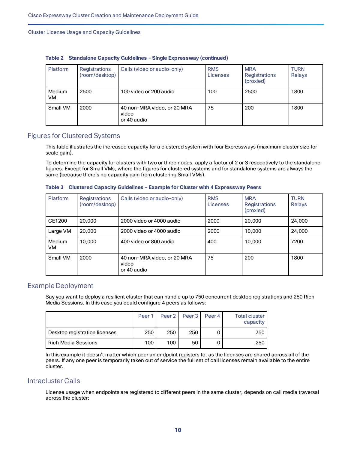Cluster License Usage and Capacity Guidelines

| Platform      | Registrations<br>(room/desktop) | Calls (video or audio-only)                         | <b>RMS</b><br>Licenses | <b>MRA</b><br><b>Registrations</b><br>(proxied) | <b>TURN</b><br>Relays |
|---------------|---------------------------------|-----------------------------------------------------|------------------------|-------------------------------------------------|-----------------------|
| Medium<br>VM. | 2500                            | 100 video or 200 audio                              | 100                    | 2500                                            | 1800                  |
| Small VM      | 2000                            | 40 non-MRA video, or 20 MRA<br>video<br>or 40 audio | 75                     | 200                                             | 1800                  |

**Table 2 Standalone Capacity Guidelines - Single Expressway (continued)**

## Figures for Clustered Systems

This table illustrates the increased capacity for a clustered system with four Expressways (maximum cluster size for scale gain).

To determine the capacity for clusters with two or three nodes, apply a factor of 2 or 3 respectively to the standalone figures. Except for Small VMs, where the figures for clustered systems and for standalone systems are always the same (because there's no capacity gain from clustering Small VMs).

| <b>Platform</b>      | <b>Registrations</b><br>(room/desktop) | Calls (video or audio-only)                         | <b>RMS</b><br>Licenses | <b>MRA</b><br><b>Registrations</b><br>(proxied) | <b>TURN</b><br>Relays |
|----------------------|----------------------------------------|-----------------------------------------------------|------------------------|-------------------------------------------------|-----------------------|
| CE1200               | 20,000                                 | 2000 video or 4000 audio                            | 2000                   | 20,000                                          | 24,000                |
| Large VM             | 20,000                                 | 2000 video or 4000 audio                            | 2000                   | 10,000                                          | 24,000                |
| <b>Medium</b><br>VM. | 10.000                                 | 400 video or 800 audio                              | 400                    | 10.000                                          | 7200                  |
| Small VM             | 2000                                   | 40 non-MRA video, or 20 MRA<br>video<br>or 40 audio | 75                     | 200                                             | 1800                  |

**Table 3 Clustered Capacity Guidelines - Example for Cluster with 4 Expressway Peers**

## Example Deployment

Say you want to deploy a resilient cluster that can handle up to 750 concurrent desktop registrations and 250 Rich Media Sessions. In this case you could configure 4 peers as follows:

|                               | Peer 1 |     | Peer 2   Peer 3 | Peer 4 | <b>Total cluster</b><br>capacity |
|-------------------------------|--------|-----|-----------------|--------|----------------------------------|
| Desktop registration licenses | 250    | 250 | 250             |        | 750                              |
| <b>Rich Media Sessions</b>    | 100    | 100 | 50              |        | 250                              |

In this example it doesn't matter which peer an endpoint registers to, as the licenses are shared across all of the peers. If any one peer is temporarily taken out of service the full set of call licenses remain available to the entire cluster.

## Intracluster Calls

License usage when endpoints are registered to different peers in the same cluster, depends on call media traversal across the cluster: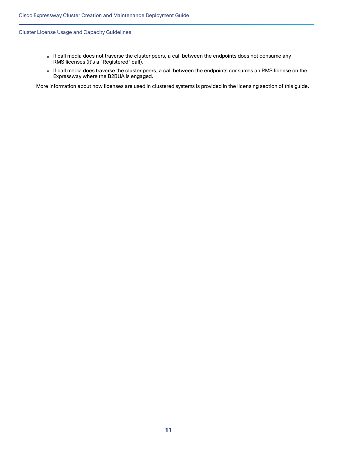Cluster License Usage and Capacity Guidelines

- If call media does not traverse the cluster peers, a call between the endpoints does not consume any RMS licenses (it's a "Registered" call).
- If call media does traverse the cluster peers, a call between the endpoints consumes an RMS license on the Expressway where the B2BUA is engaged.

More information about how licenses are used in clustered systems is provided in the licensing section of this guide.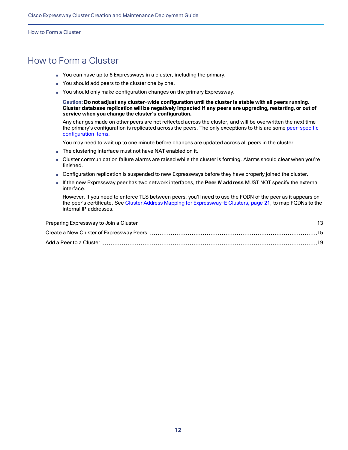## <span id="page-11-0"></span>How to Form a Cluster

- You can have up to 6 Expressways in a cluster, including the primary.
- You should add peers to the cluster one by one.
- You should only make configuration changes on the primary Expressway.

**Caution: Do not adjust any cluster-wide configuration until the cluster is stable with all peers running. Cluster database replication will be negatively impacted if any peers are upgrading, restarting, or out of service when you change the cluster's configuration.**

Any changes made on other peers are not reflected across the cluster, and will be overwritten the next time the primary's configuration is replicated across the peers. The only exceptions to this are some [peer-specific](#page-47-0) [configuration](#page-47-0) items.

You may need to wait up to one minute before changes are updated across all peers in the cluster.

- The clustering interface must not have NAT enabled on it.
- Cluster communication failure alarms are raised while the cluster is forming. Alarms should clear when you're finished.
- Configuration replication is suspended to new Expressways before they have properly joined the cluster.
- If the new Expressway peer has two network interfaces, the **Peer** *N* **address** MUST NOT specify the external interface.

However, if you need to enforce TLS between peers, you'll need to use the FQDN of the peer as it appears on the peer's certificate. See Cluster Address Mapping for [Expressway-E](#page-20-1) Clusters, page 21, to map FQDNs to the internal IP addresses.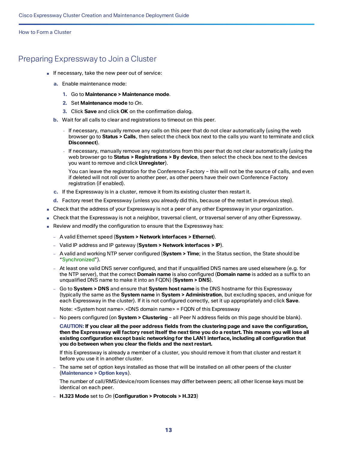## <span id="page-12-0"></span>Preparing Expressway to Join a Cluster

- If necessary, take the new peer out of service:
	- **a.** Enable maintenance mode:
		- **1.** Go to **Maintenance > Maintenance mode**.
		- **2.** Set **Maintenance mode** to *On*.
		- **3.** Click **Save** and click **OK** on the confirmation dialog.
	- **b.** Wait for all calls to clear and registrations to timeout on this peer.
		- If necessary, manually remove any calls on this peer that do not clear automatically (using the web browser go to **Status > Calls**, then select the check box next to the calls you want to terminate and click **Disconnect**).
		- If necessary, manually remove any registrations from this peer that do not clear automatically (using the web browser go to **Status > Registrations > By device**, then select the check box next to the devices you want to remove and click **Unregister**).

You can leave the registration for the Conference Factory – this will not be the source of calls, and even if deleted will not roll over to another peer, as other peers have their own Conference Factory registration (if enabled).

- **c.** If the Expressway is in a cluster, remove it from its existing cluster then restart it.
- **d.** Factory reset the Expressway (unless you already did this, because of the restart in previous step).
- Check that the address of your Expressway is not a peer of any other Expressway in your organization.
- Check that the Expressway is not a neighbor, traversal client, or traversal server of any other Expressway.
- Review and modify the configuration to ensure that the Expressway has:
	- A valid Ethernet speed (**System > Network interfaces > Ethernet**).
	- Valid IP address and IP gateway (**System > Network interfaces > IP**).
	- A valid and working NTP server configured (**System > Time**; in the Status section, the State should be "Synchronized").
	- At least one valid DNS server configured, and that if unqualified DNS names are used elsewhere (e.g. for the NTP server), that the correct **Domain name** is also configured (**Domain name** is added as a suffix to an unqualified DNS name to make it into an FQDN) (**System > DNS**).
	- Go to **System > DNS** and ensure that **System host name** is the DNS hostname for this Expressway (typically the same as the **System name** in **System > Administration**, but excluding spaces, and unique for each Expressway in the cluster). If it is not configured correctly, set it up appropriately and click **Save**.

Note: <System host name>.<DNS domain name> = FQDN of this Expressway

— No peers configured (on **System > Clustering** – all Peer N address fields on this page should be blank).

**CAUTION: If you clear all the peer address fields from the clustering page and save the configuration,** then the Expressway will factory reset itself the next time you do a restart. This means you will lose all **existing configuration except basic networking for the LAN1 interface, including all configuration that you do between when you clear the fields and the next restart.**

If this Expressway is already a member of a cluster, you should remove it from that cluster and restart it before you use it in another cluster.

— The same set of option keys installed as those that will be installed on all other peers of the cluster (**Maintenance > Option keys**).

The number of call/RMS/device/room licenses may differ between peers; all other license keys must be identical on each peer.

— **H.323 Mode** set to *On* (**Configuration > Protocols > H.323**)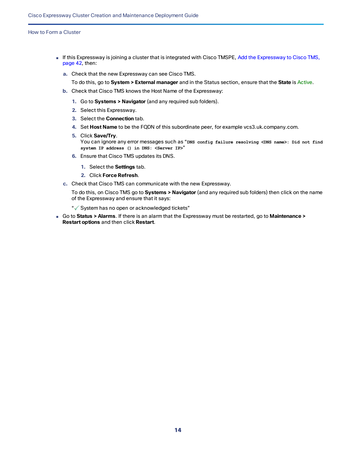- If this Expressway is joining a cluster that is integrated with Cisco TMSPE, Add the [Expressway](#page-41-0) to Cisco TMS, [page](#page-41-0) 42, then:
	- **a.** Check that the new Expressway can see Cisco TMS.
		- To do this, go to **System > External manager** and in the Status section, ensure that the **State** is Active.
	- **b.** Check that Cisco TMS knows the Host Name of the Expressway:
		- **1.** Go to **Systems > Navigator** (and any required sub folders).
		- **2.** Select this Expressway.
		- **3.** Select the **Connection** tab.
		- **4.** Set **Host Name** to be the FQDN of this subordinate peer, for example vcs3.uk.company.com.
		- **5.** Click **Save/Try**. You can ignore any error messages such as "**DNS config failure resolving <DNS name>: Did not find system IP address () in DNS: <Server IP>**"
		- **6.** Ensure that Cisco TMS updates its DNS.
			- **1.** Select the **Settings** tab.
			- **2.** Click **Force Refresh**.
	- **c.** Check that Cisco TMS can communicate with the new Expressway.

To do this, on Cisco TMS go to **Systems > Navigator** (and any required sub folders) then click on the name of the Expressway and ensure that it says:

" System has no open or acknowledged tickets"

■ Go to **Status > Alarms**. If there is an alarm that the Expressway must be restarted, go to **Maintenance > Restart options** and then click **Restart**.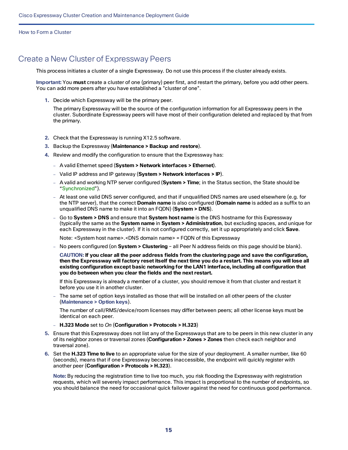## <span id="page-14-0"></span>Create a New Cluster of Expressway Peers

This process initiates a cluster of a single Expressway. Do not use this process if the cluster already exists.

**Important:** You **must** create a cluster of one (primary) peer first, and restart the primary, before you add other peers. You can add more peers after you have established a "cluster of one".

**1.** Decide which Expressway will be the primary peer.

The primary Expressway will be the source of the configuration information for all Expressway peers in the cluster. Subordinate Expressway peers will have most of their configuration deleted and replaced by that from the primary.

- **2.** Check that the Expressway is running X12.5 software.
- **3.** Backup the Expressway (**Maintenance > Backup and restore**).
- **4.** Review and modify the configuration to ensure that the Expressway has:
	- A valid Ethernet speed (**System > Network interfaces > Ethernet**).
	- Valid IP address and IP gateway (**System > Network interfaces > IP**).
	- A valid and working NTP server configured (**System > Time**; in the Status section, the State should be "Synchronized").
	- At least one valid DNS server configured, and that if unqualified DNS names are used elsewhere (e.g. for the NTP server), that the correct **Domain name** is also configured (**Domain name** is added as a suffix to an unqualified DNS name to make it into an FQDN) (**System > DNS**).
	- Go to **System > DNS** and ensure that **System host name** is the DNS hostname for this Expressway (typically the same as the **System name** in **System > Administration**, but excluding spaces, and unique for each Expressway in the cluster). If it is not configured correctly, set it up appropriately and click **Save**.

Note: <System host name>.<DNS domain name> = FQDN of this Expressway

— No peers configured (on **System > Clustering** – all Peer N address fields on this page should be blank).

**CAUTION: If you clear all the peer address fields from the clustering page and save the configuration,** then the Expressway will factory reset itself the next time you do a restart. This means you will lose all **existing configuration except basic networking for the LAN1 interface, including all configuration that you do between when you clear the fields and the next restart.**

If this Expressway is already a member of a cluster, you should remove it from that cluster and restart it before you use it in another cluster.

The same set of option keys installed as those that will be installed on all other peers of the cluster (**Maintenance > Option keys**).

The number of call/RMS/device/room licenses may differ between peers; all other license keys must be identical on each peer.

- **H.323 Mode** set to *On* (**Configuration > Protocols > H.323**)
- **5.** Ensure that this Expressway does not list any of the Expressways that are to be peers in this new cluster in any of its neighbor zones or traversal zones (**Configuration > Zones > Zones** then check each neighbor and traversal zone).
- **6.** Set the **H.323 Time to live** to an appropriate value for the size of your deployment. A smaller number, like 60 (seconds), means that if one Expressway becomes inaccessible, the endpoint will quickly register with another peer (**Configuration > Protocols > H.323**).

**Note:** By reducing the registration time to live too much, you risk flooding the Expressway with registration requests, which will severely impact performance. This impact is proportional to the number of endpoints, so you should balance the need for occasional quick failover against the need for continuous good performance.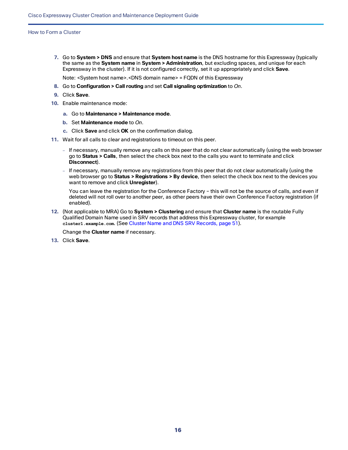**7.** Go to **System > DNS** and ensure that **System host name** is the DNS hostname for this Expressway (typically the same as the **System name** in **System > Administration**, but excluding spaces, and unique for each Expressway in the cluster). If it is not configured correctly, set it up appropriately and click **Save**.

Note: <System host name>.<DNS domain name> = FQDN of this Expressway

- **8.** Go to **Configuration > Call routing** and set **Call signaling optimization** to *On*.
- **9.** Click **Save**.
- **10.** Enable maintenance mode:
	- **a.** Go to **Maintenance > Maintenance mode**.
	- **b.** Set **Maintenance mode** to *On*.
	- **c.** Click **Save** and click **OK** on the confirmation dialog.
- **11.** Wait for all calls to clear and registrations to timeout on this peer.
	- If necessary, manually remove any calls on this peer that do not clear automatically (using the web browser go to **Status > Calls**, then select the check box next to the calls you want to terminate and click **Disconnect**).
	- If necessary, manually remove any registrations from this peer that do not clear automatically (using the web browser go to **Status > Registrations > By device**, then select the check box next to the devices you want to remove and click **Unregister**).

You can leave the registration for the Conference Factory – this will not be the source of calls, and even if deleted will not roll over to another peer, as other peers have their own Conference Factory registration (if enabled).

**12.** (Not applicable to MRA) Go to **System > Clustering** and ensure that **Cluster name** is the routable Fully Qualified Domain Name used in SRV records that address this Expressway cluster, for example **cluster1.example.com**. (See Cluster Name and DNS SRV [Records,](#page-50-0) page 51).

Change the **Cluster name** if necessary.

**13.** Click **Save**.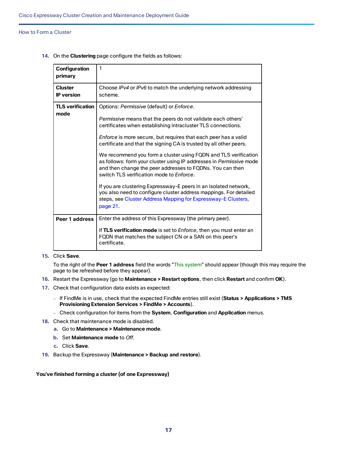**14.** On the **Clustering** page configure the fields as follows:

| Configuration<br>primary            | 1                                                                                                                                                                                                                                                                                                                                                                                                                                                                                                                                                                                                                                                                                                                                                                                                  |
|-------------------------------------|----------------------------------------------------------------------------------------------------------------------------------------------------------------------------------------------------------------------------------------------------------------------------------------------------------------------------------------------------------------------------------------------------------------------------------------------------------------------------------------------------------------------------------------------------------------------------------------------------------------------------------------------------------------------------------------------------------------------------------------------------------------------------------------------------|
| <b>Cluster</b><br><b>IP</b> version | Choose IPv4 or IPv6 to match the underlying network addressing<br>scheme.                                                                                                                                                                                                                                                                                                                                                                                                                                                                                                                                                                                                                                                                                                                          |
| <b>TLS verification</b><br>mode     | Options: Permissive (default) or Enforce.<br>Permissive means that the peers do not validate each others'<br>certificates when establishing intracluster TLS connections.<br><i>Enforce</i> is more secure, but requires that each peer has a valid<br>certificate and that the signing CA is trusted by all other peers.<br>We recommend you form a cluster using FQDN and TLS verification<br>as follows: form your cluster using IP addresses in Permissive mode<br>and then change the peer addresses to FQDNs. You can then<br>switch TLS verification mode to Enforce.<br>If you are clustering Expressway-E peers in an isolated network,<br>you also need to configure cluster address mappings. For detailed<br>steps, see Cluster Address Mapping for Expressway-E Clusters,<br>page 21. |
| Peer 1 address                      | Enter the address of this Expressway (the primary peer).<br>If TLS verification mode is set to <i>Enforce</i> , then you must enter an<br>FQDN that matches the subject CN or a SAN on this peer's<br>certificate.                                                                                                                                                                                                                                                                                                                                                                                                                                                                                                                                                                                 |

## **15.** Click **Save**.

To the right of the **Peer 1 address** field the words "This system" should appear (though this may require the page to be refreshed before they appear).

- **16.** Restart the Expressway (go to **Maintenance > Restart options**, then click **Restart** and confirm **OK**).
- **17.** Check that configuration data exists as expected:
	- If FindMe is in use, check that the expected FindMe entries still exist (**Status > Applications > TMS Provisioning Extension Services > FindMe > Accounts**).
	- Check configuration for items from the **System**, **Configuration** and **Application** menus.
- **18.** Check that maintenance mode is disabled.
	- **a.** Go to **Maintenance > Maintenance mode**.
	- **b.** Set **Maintenance mode** to *Off*.
	- **c.** Click **Save**.
- **19.** Backup the Expressway (**Maintenance > Backup and restore**).

**You've finished forming a cluster (of one Expressway)**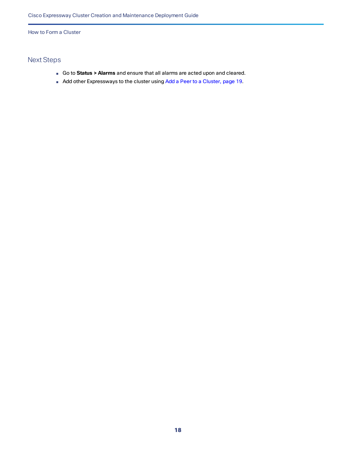## Next Steps

- Go to **Status > Alarms** and ensure that all alarms are acted upon and cleared.
- Add other Expressways to the cluster using Add a Peer to a [Cluster,](#page-18-0) page 19.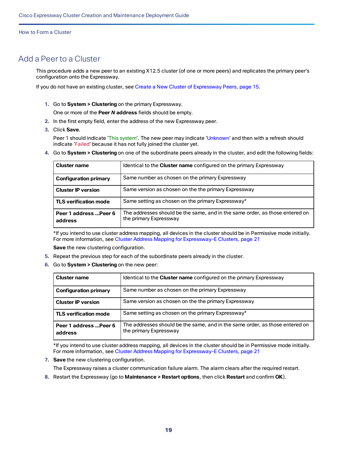## <span id="page-18-0"></span>Add a Peer to a Cluster

This procedure adds a new peer to an existing X12.5 cluster (of one or more peers) and replicates the primary peer's configuration onto the Expressway.

If you do not have an existing cluster, see Create a New Cluster of [Expressway Peers,](#page-14-0) page 15.

**1.** Go to **System > Clustering** on the primary Expressway.

One or more of the **Peer** *N* **address** fields should be empty.

- **2.** In the first empty field, enter the address of the new Expressway peer.
- **3.** Click **Save**.

Peer 1 should indicate 'This system'. The new peer may indicate 'Unknown' and then with a refresh should indicate 'Failed' because it has not fully joined the cluster yet.

**4.** Go to **System > Clustering** on one of the subordinate peers already in the cluster, and edit the following fields:

| <b>Cluster name</b>               | Identical to the Cluster name configured on the primary Expressway                                     |
|-----------------------------------|--------------------------------------------------------------------------------------------------------|
| <b>Configuration primary</b>      | Same number as chosen on the primary Expressway                                                        |
| <b>Cluster IP version</b>         | Same version as chosen on the the primary Expressway                                                   |
| l TLS verification mode           | Same setting as chosen on the primary Expressway*                                                      |
| Peer 1 address  Peer 6<br>address | The addresses should be the same, and in the same order, as those entered on<br>the primary Expressway |

\*If you intend to use cluster address mapping, all devices in the cluster should be in Permissive mode initially. For more information, see Cluster Address Mapping for [Expressway-E](#page-20-1) Clusters, page 21

**Save** the new clustering configuration.

- **5.** Repeat the previous step for each of the subordinate peers already in the cluster.
- **6.** Go to **System > Clustering** on the new peer:

| <b>Cluster name</b>               | Identical to the <b>Cluster name</b> configured on the primary Expressway                              |
|-----------------------------------|--------------------------------------------------------------------------------------------------------|
| <b>Configuration primary</b>      | Same number as chosen on the primary Expressway                                                        |
| <b>Cluster IP version</b>         | Same version as chosen on the the primary Expressway                                                   |
| <b>TLS verification mode</b>      | Same setting as chosen on the primary Expressway*                                                      |
| Peer 1 address  Peer 6<br>address | The addresses should be the same, and in the same order, as those entered on<br>the primary Expressway |

\*If you intend to use cluster address mapping, all devices in the cluster should be in Permissive mode initially. For more information, see Cluster Address Mapping for [Expressway-E](#page-20-1) Clusters, page 21

**7. Save** the new clustering configuration.

The Expressway raises a cluster communication failure alarm. The alarm clears after the required restart.

**8.** Restart the Expressway (go to **Maintenance > Restart options**, then click **Restart** and confirm **OK**).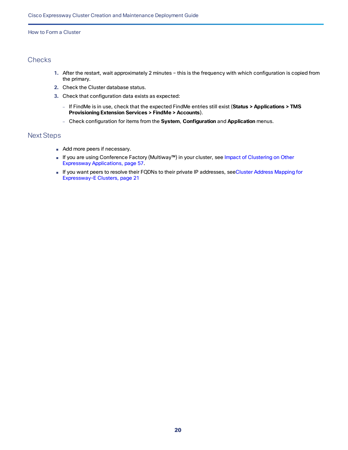## **Checks**

- **1.** After the restart, wait approximately 2 minutes this is the frequency with which configuration is copied from the primary.
- **2.** Check the Cluster database status.
- **3.** Check that configuration data exists as expected:
	- If FindMe is in use, check that the expected FindMe entries still exist (**Status > Applications > TMS Provisioning Extension Services > FindMe > Accounts**).
	- Check configuration for items from the **System**, **Configuration** and **Application** menus.

## Next Steps

- Add more peers if necessary.
- If you are using Conference Factory (Multiway™) in your cluster, see Impact of [Clustering](#page-56-0) on Other Expressway [Applications,](#page-56-0) page 57.
- If you want peers to resolve their FQDNs to their private IP addresses, seeCluster Address [Mapping](#page-20-1) for [Expressway-E](#page-20-1) Clusters, page 21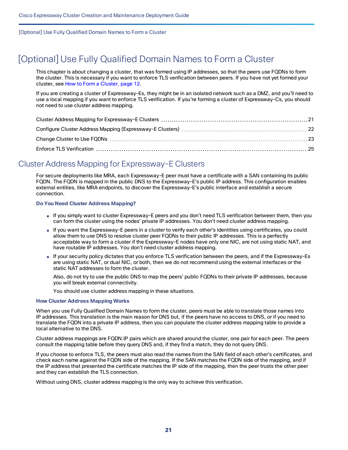## <span id="page-20-0"></span>[Optional] Use Fully Qualified Domain Names to Form a Cluster

This chapter is about changing a cluster, that was formed using IP addresses, so that the peers use FQDNs to form the cluster. This is necessary if you want to enforce TLS verification between peers. If you have not yet formed your cluster, see How to Form a [Cluster,](#page-11-0) page 12.

If you are creating a cluster of Expressway-Es, they might be in an isolated network such as a DMZ, and you'll need to use a local mapping if you want to enforce TLS verification. If you're forming a cluster of Expressway-Cs, you should not need to use cluster address mapping.

## <span id="page-20-1"></span>Cluster Address Mapping for Expressway-E Clusters

For secure deployments like MRA, each Expressway-E peer must have a certificate with a SAN containing its public FQDN. The FQDN is mapped in the public DNS to the Expressway-E's public IP address. This configuration enables external entities, like MRA endpoints, to discover the Expressway-E's public interface and establish a secure connection.

## **Do You Need Cluster Address Mapping?**

- If you simply want to cluster Expressway-E peers and you don't need TLS verification between them, then you can form the cluster using the nodes' private IP addresses. You don't need cluster address mapping.
- If you want the Expressway-E peers in a cluster to verify each other's identities using certificates, you could allow them to use DNS to resolve cluster peer FQDNs to their public IP addresses. This is a perfectly acceptable way to form a cluster if the Expressway-E nodes have only one NIC, are not using static NAT, and have routable IP addresses. You don't need cluster address mapping.
- If your security policy dictates that you enforce TLS verification between the peers, and if the Expressway-Es are using static NAT, or dual NIC, or both, then we do not recommend using the external interfaces or the static NAT addresses to form the cluster.

Also, do not try to use the public DNS to map the peers' public FQDNs to their private IP addresses, because you will break external connectivity.

You should use cluster address mapping in these situations.

#### **How Cluster Address Mapping Works**

When you use Fully Qualified Domain Names to form the cluster, peers must be able to translate those names into IP addresses. This translation is the main reason for DNS but, if the peers have no access to DNS, or if you need to translate the FQDN into a private IP address, then you can populate the cluster address mapping table to provide a local alternative to the DNS.

Cluster address mappings are FQDN:IP pairs which are shared around the cluster, one pair for each peer. The peers consult the mapping table before they query DNS and, if they find a match, they do not query DNS.

If you choose to enforce TLS, the peers must also read the names from the SAN field of each other's certificates, and check each name against the FQDN side of the mapping. If the SAN matches the FQDN side of the mapping, and if the IP address that presented the certificate matches the IP side of the mapping, then the peer trusts the other peer and they can establish the TLS connection.

Without using DNS, cluster address mapping is the only way to achieve this verification.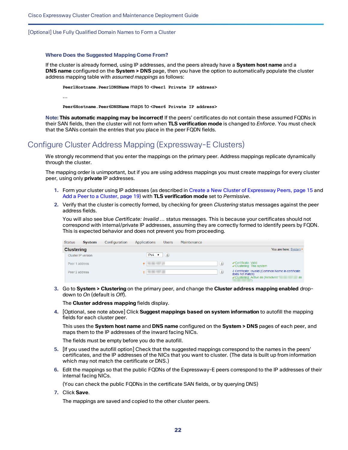#### **Where Does the Suggested Mapping Come From?**

If the cluster is already formed, using IP addresses, and the peers already have a **System host name** and a **DNS name** configured on the **System > DNS** page, then you have the option to automatically populate the cluster address mapping table with *assumed mappings* as follows:

**Peer1Hostname.Peer1DNSName** maps to **<Peer1 Private IP address>**

...

**Peer6Hostname.Peer6DNSName** maps to **<Peer6 Private IP address>**

**Note: This automatic mapping may be incorrect!** If the peers' certificates do not contain these assumed FQDNs in their SAN fields, then the cluster will not form when **TLS verification mode** is changed to *Enforce*. You must check that the SANs contain the entries that you place in the peer FQDN fields.

## <span id="page-21-0"></span>Configure Cluster Address Mapping (Expressway-E Clusters)

We strongly recommend that you enter the mappings on the primary peer. Address mappings replicate dynamically through the cluster.

The mapping order is unimportant, but if you are using address mappings you must create mappings for every cluster peer, using only **private** IP addresses.

- **1.** Form your cluster using IP addresses (as described in Create a New Cluster of [Expressway Peers,](#page-14-0) page 15 and Add a Peer to a [Cluster,](#page-18-0) page 19) with **TLS verification mode** set to *Permissive*.
- **2.** Verify that the cluster is correctly formed, by checking for green *Clustering* status messages against the peer address fields.

You will also see blue *Certificate: Invalid ...* status messages. This is because your certificates should not correspond with internal/private IP addresses, assuming they are correctly formed to identify peers by FQDN. This is expected behavior and does not prevent you from proceeding.

| <b>Status</b> | <b>System</b>      | Configuration | <b>Applications</b>         | <b>Users</b> | Maintenance |     |                                                                                                                          |
|---------------|--------------------|---------------|-----------------------------|--------------|-------------|-----|--------------------------------------------------------------------------------------------------------------------------|
|               | <b>Clustering</b>  |               |                             |              |             |     | You are here: System •                                                                                                   |
|               | Cluster IP version |               | $IPv4$ $\blacktriangledown$ | (i)          |             |     |                                                                                                                          |
|               | Peer 1 address     |               | 10.00 107 21                |              |             | (i) | Certificate: Valid<br>Clustering: This system                                                                            |
|               | Peer 2 address     |               | <b>WE BE NET ZIP</b>        |              |             | (i) | <i>i</i> Certificate: Invalid (Common Name in certificate<br>does not match)<br>Clustering: Active as (Resolved '<br>as. |

**3.** Go to **System > Clustering** on the primary peer, and change the **Cluster address mapping enabled** dropdown to *On* (default is *Off*).

The **Cluster address mapping** fields display.

**4.** [Optional, see note above] Click **Suggest mappings based on system information** to autofill the mapping fields for each cluster peer.

This uses the **System host name** and **DNS name** configured on the **System > DNS** pages of each peer, and maps them to the IP addresses of the inward facing NICs.

The fields must be empty before you do the autofill.

- **5.** [If you used the autofill option] Check that the suggested mappings correspond to the names in the peers' certificates, and the IP addresses of the NICs that you want to cluster. (The data is built up from information which may not match the certificate or DNS.)
- **6.** Edit the mappings so that the public FQDNs of the Expressway-E peers correspond to the IP addresses of their internal facing NICs.

(You can check the public FQDNs in the certificate SAN fields, or by querying DNS)

**7.** Click **Save**.

The mappings are saved and copied to the other cluster peers.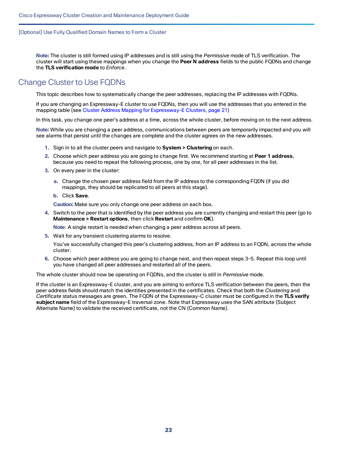**Note:** The cluster is still formed using IP addresses and is still using the *Permissive* mode of TLS verification. The cluster will start using these mappings when you change the **Peer N address** fields to the public FQDNs and change the **TLS verification mode** to *Enforce*.

## <span id="page-22-0"></span>Change Cluster to Use FQDNs

This topic describes how to systematically change the peer addresses, replacing the IP addresses with FQDNs.

If you are changing an Expressway-E cluster to use FQDNs, then you will use the addresses that you entered in the mapping table (see Cluster Address Mapping for [Expressway-E](#page-20-1) Clusters, page 21)

In this task, you change one peer's address at a time, across the whole cluster, before moving on to the next address.

**Note:** While you are changing a peer address, communications between peers are temporarily impacted and you will see alarms that persist until the changes are complete and the cluster agrees on the new addresses.

- **1.** Sign in to all the cluster peers and navigate to **System > Clustering** on each.
- **2.** Choose which peer address you are going to change first. We recommend starting at **Peer 1 address**, because you need to repeat the following process, one by one, for all peer addresses in the list.
- **3.** On every peer in the cluster:
	- **a.** Change the chosen peer address field from the IP address to the corresponding FQDN (if you did mappings, they should be replicated to all peers at this stage).
	- **b.** Click **Save**.

**Caution:** Make sure you only change one peer address on each box.

**4.** Switch to the peer that is identified by the peer address you are currently changing and restart this peer (go to **Maintenance > Restart options**, then click **Restart** and confirm **OK**).

**Note**: A single restart is needed when changing a peer address across all peers.

**5.** Wait for any transient clustering alarms to resolve.

You've successfully changed this peer's clustering address, from an IP address to an FQDN, across the whole cluster.

**6.** Choose which peer address you are going to change next, and then repeat steps 3-5. Repeat this loop until you have changed all peer addresses and restarted all of the peers.

The whole cluster should now be operating on FQDNs, and the cluster is still in *Permissive* mode.

If the cluster is an Expressway-E cluster, and you are aiming to enforce TLS verification between the peers, then the peer address fields should match the identities presented in the certificates. Check that both the *Clustering* and *Certificate* status messages are green. The FQDN of the Expressway-C cluster must be configured in the **TLS verify subject name** field of the Expressway-E traversal zone. Note that Expressway uses the SAN attribute (Subject Alternate Name) to validate the received certificate, not the CN (Common Name).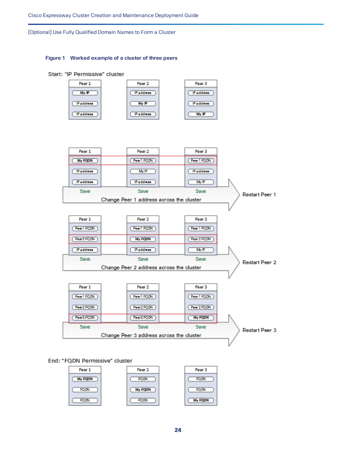### **Figure 1 Worked example of a cluster of three peers**



## End: "FQDN Permissive" cluster

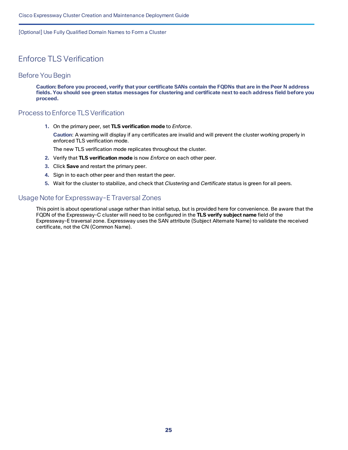## <span id="page-24-0"></span>Enforce TLS Verification

## Before You Begin

Caution: Before you proceed, verify that your certificate SANs contain the FQDNs that are in the Peer N address fields. You should see green status messages for clustering and certificate next to each address field before you **proceed.**

## Process to Enforce TLS Verification

**1.** On the primary peer, set **TLS verification mode** to *Enforce*.

**Caution**: A warning will display if any certificates are invalid and will prevent the cluster working properly in enforced TLS verification mode.

The new TLS verification mode replicates throughout the cluster.

- **2.** Verify that **TLS verification mode** is now *Enforce* on each other peer.
- **3.** Click **Save** and restart the primary peer.
- **4.** Sign in to each other peer and then restart the peer.
- **5.** Wait for the cluster to stabilize, and check that *Clustering* and *Certificate* status is green for all peers.

## Usage Note for Expressway-E Traversal Zones

This point is about operational usage rather than initial setup, but is provided here for convenience. Be aware that the FQDN of the Expressway-C cluster will need to be configured in the **TLS verify subject name** field of the Expressway-E traversal zone. Expressway uses the SAN attribute (Subject Alternate Name) to validate the received certificate, not the CN (Common Name).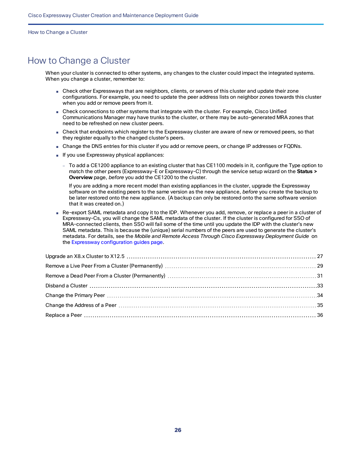## <span id="page-25-0"></span>How to Change a Cluster

When your cluster is connected to other systems, any changes to the cluster could impact the integrated systems. When you change a cluster, remember to:

- Check other Expressways that are neighbors, clients, or servers of this cluster and update their zone configurations. For example, you need to update the peer address lists on neighbor zones towards this cluster when you add or remove peers from it.
- Check connections to other systems that integrate with the cluster. For example, Cisco Unified Communications Manager may have trunks to the cluster, or there may be auto-generated MRA zones that need to be refreshed on new cluster peers.
- Check that endpoints which register to the Expressway cluster are aware of new or removed peers, so that they register equally to the changed cluster's peers.
- Change the DNS entries for this cluster if you add or remove peers, or change IP addresses or FQDNs.
- If you use Expressway physical appliances:
	- To add a CE1200 appliance to an existing cluster that has CE1100 models in it, configure the Type option to match the other peers (Expressway-E or Expressway-C) through the service setup wizard on the **Status > Overview** page, *before* you add the CE1200 to the cluster.

If you are adding a more recent model than existing appliances in the cluster, upgrade the Expressway software on the existing peers to the same version as the new appliance, *before* you create the backup to be later restored onto the new appliance. (A backup can only be restored onto the same software version that it was created on.)

■ Re-export SAML metadata and copy it to the IDP. Whenever you add, remove, or replace a peer in a cluster of Expressway-Cs, you will change the SAML metadata of the cluster. If the cluster is configured for SSO of MRA-connected clients, then SSO will fail some of the time until you update the IDP with the cluster's new SAML metadata. This is because the (unique) serial numbers of the peers are used to generate the cluster's metadata. For details, see the *Mobile and Remote Access Through Cisco Expressway Deployment Guide* on the Expressway [configuration](http://www.cisco.com/c/en/us/support/unified-communications/expressway-series/products-installation-and-configuration-guides-list.html) guides page.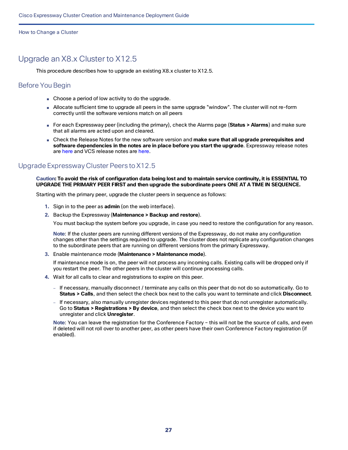## <span id="page-26-0"></span>Upgrade an X8.x Cluster to X12.5

This procedure describes how to upgrade an existing X8.x cluster to X12.5.

## Before You Begin

- Choose a period of low activity to do the upgrade.
- Allocate sufficient time to upgrade all peers in the same upgrade "window". The cluster will not re-form correctly until the software versions match on all peers
- For each Expressway peer (including the primary), check the Alarms page (**Status > Alarms**) and make sure that all alarms are acted upon and cleared.
- Check the Release Notes for the new software version and **make sure that all upgrade prerequisites and software dependencies in the notes are in place before you start the upgrade**. Expressway release notes are [here](https://www.cisco.com/c/en/us/support/unified-communications/telepresence-video-communication-server-vcs/products-release-notes-list.html) and VCS release notes are here.

## Upgrade Expressway Cluster Peers to X12.5

Caution: To avoid the risk of configuration data being lost and to maintain service continuity, it is ESSENTIAL TO **UPGRADE THE PRIMARY PEER FIRST and then upgrade the subordinate peers ONE AT A TIME IN SEQUENCE.**

Starting with the primary peer, upgrade the cluster peers in sequence as follows:

- **1.** Sign in to the peer as **admin** (on the web interface).
- **2.** Backup the Expressway (**Maintenance > Backup and restore**).

You must backup the system before you upgrade, in case you need to restore the configuration for any reason.

**Note**: If the cluster peers are running different versions of the Expressway, do not make any configuration changes other than the settings required to upgrade. The cluster does not replicate any configuration changes to the subordinate peers that are running on different versions from the primary Expressway.

**3.** Enable maintenance mode (**Maintenance > Maintenance mode**).

If maintenance mode is on, the peer will not process any incoming calls. Existing calls will be dropped only if you restart the peer. The other peers in the cluster will continue processing calls.

- **4.** Wait for all calls to clear and registrations to expire on this peer.
	- If necessary, manually disconnect / terminate any calls on this peer that do not do so automatically. Go to **Status > Calls**, and then select the check box next to the calls you want to terminate and click **Disconnect**.
	- If necessary, also manually unregister devices registered to this peer that do not unregister automatically. Go to **Status > Registrations > By device**, and then select the check box next to the device you want to unregister and click **Unregister**.

**Note**: You can leave the registration for the Conference Factory – this will not be the source of calls, and even if deleted will not roll over to another peer, as other peers have their own Conference Factory registration (if enabled).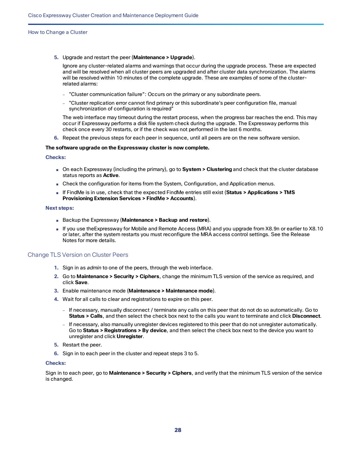**5.** Upgrade and restart the peer (**Maintenance > Upgrade**).

Ignore any cluster-related alarms and warnings that occur during the upgrade process. These are expected and will be resolved when all cluster peers are upgraded and after cluster data synchronization. The alarms will be resolved within 10 minutes of the complete upgrade. These are examples of some of the clusterrelated alarms:

- "Cluster communication failure": Occurs on the primary or any subordinate peers.
- "Cluster replication error cannot find primary or this subordinate's peer configuration file, manual synchronization of configuration is required"

The web interface may timeout during the restart process, when the progress bar reaches the end. This may occur if Expressway performs a disk file system check during the upgrade. The Expressway performs this check once every 30 restarts, or if the check was not performed in the last 6 months.

**6.** Repeat the previous steps for each peer in sequence, until all peers are on the new software version.

### **The software upgrade on the Expressway cluster is now complete.**

#### **Checks:**

- On each Expressway (including the primary), go to **System > Clustering** and check that the cluster database status reports as **Active**.
- Check the configuration for items from the System, Configuration, and Application menus.
- If FindMe is in use, check that the expected FindMe entries still exist (**Status > Applications > TMS Provisioning Extension Services > FindMe > Accounts**).

#### **Next steps:**

- Backup the Expressway (**Maintenance > Backup and restore**).
- If you use theExpressway for Mobile and Remote Access (MRA) and you upgrade from X8.9n or earlier to X8.10 or later, after the system restarts you must reconfigure the MRA access control settings. See the Release Notes for more details.

## Change TLS Version on Cluster Peers

- **1.** Sign in as *admin* to one of the peers, through the web interface.
- **2.** Go to **Maintenance > Security > Ciphers**, change the minimum TLS version of the service as required, and click **Save**.
- **3.** Enable maintenance mode (**Maintenance > Maintenance mode**).
- **4.** Wait for all calls to clear and registrations to expire on this peer.
	- If necessary, manually disconnect / terminate any calls on this peer that do not do so automatically. Go to **Status > Calls**, and then select the check box next to the calls you want to terminate and click **Disconnect**.
	- If necessary, also manually unregister devices registered to this peer that do not unregister automatically. Go to **Status > Registrations > By device**, and then select the check box next to the device you want to unregister and click **Unregister**.
- **5.** Restart the peer.
- **6.** Sign in to each peer in the cluster and repeat steps 3 to 5.

#### **Checks:**

Sign in to each peer, go to **Maintenance > Security > Ciphers**, and verify that the minimum TLS version of the service is changed.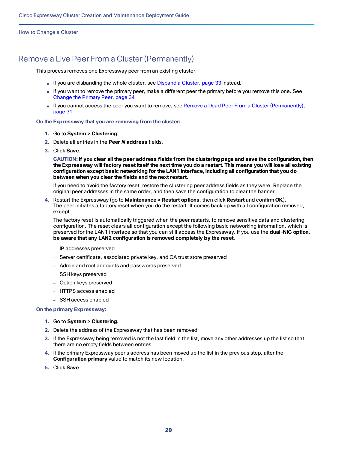## <span id="page-28-0"></span>Remove a Live Peer From a Cluster (Permanently)

This process removes one Expressway peer from an existing cluster.

- If you are disbanding the whole cluster, see Disband [a Cluster,](#page-32-0) page 33 instead.
- If you want to remove the primary peer, make a different peer the primary before you remove this one. See [Change](#page-33-0) the Primary Peer, page 34
- If you cannot access the peer you want to remove, see Remove a Dead Peer From a Cluster [\(Permanently\),](#page-30-0) [page](#page-30-0) 31.

#### **On the Expressway that you are removing from the cluster:**

- **1.** Go to **System > Clustering**:
- **2.** Delete all entries in the **Peer** *N* **address** fields.
- **3.** Click **Save**.

CAUTION: If you clear all the peer address fields from the clustering page and save the configuration, then the Expressway will factory reset itself the next time you do a restart. This means you will lose all existing **configuration except basic networking for the LAN1 interface, including all configuration that you do between when you clear the fields and the next restart.**

If you need to avoid the factory reset, restore the clustering peer address fields as they were. Replace the original peer addresses in the same order, and then save the configuration to clear the banner.

**4.** Restart the Expressway (go to **Maintenance > Restart options**, then click **Restart** and confirm **OK**). The peer initiates a factory reset when you do the restart. It comes back up with all configuration removed, except:

The factory reset is automatically triggered when the peer restarts, to remove sensitive data and clustering configuration. The reset clears all configuration except the following basic networking information, which is preserved for the LAN1 interface so that you can still access the Expressway. If you use the **dual-NIC option, be aware that any LAN2 configuration is removed completely by the reset**.

- IP addresses preserved
- Server certificate, associated private key, and CA trust store preserved
- Admin and root accounts and passwords preserved
- SSH keys preserved
- Option keys preserved
- HTTPS access enabled
- SSH access enabled

#### **On the primary Expressway:**

- **1.** Go to **System > Clustering**.
- **2.** Delete the address of the Expressway that has been removed.
- **3.** If the Expressway being removed is not the last field in the list, move any other addresses up the list so that there are no empty fields between entries.
- **4.** If the primary Expressway peer's address has been moved up the list in the previous step, alter the **Configuration primary** value to match its new location.
- **5.** Click **Save**.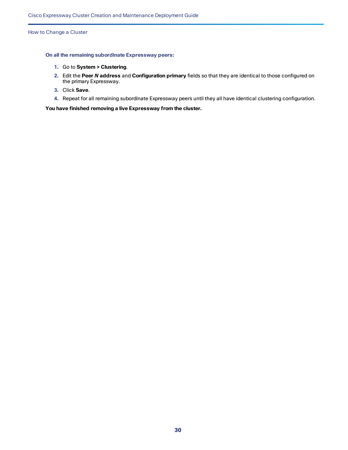### **On all the remaining subordinate Expressway peers:**

- **1.** Go to **System > Clustering**.
- **2.** Edit the **Peer** *N* **address** and **Configuration primary** fields so that they are identical to those configured on the primary Expressway.
- **3.** Click **Save**.
- **4.** Repeat for all remaining subordinate Expressway peers until they all have identical clustering configuration.

**You have finished removing a live Expressway from the cluster.**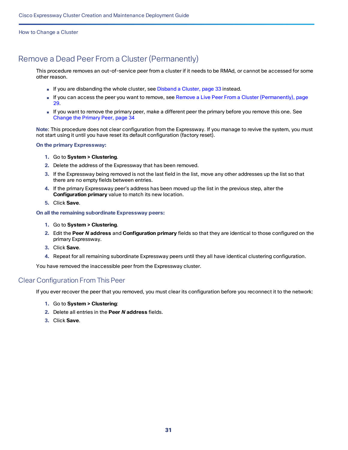## <span id="page-30-0"></span>Remove a Dead Peer From a Cluster (Permanently)

This procedure removes an out-of-service peer from a cluster if it needs to be RMAd, or cannot be accessed for some other reason.

- If you are disbanding the whole cluster, see Disband [a Cluster,](#page-32-0) page 33 instead.
- If you can access the peer you want to remove, see Remove a Live Peer From a Cluster [\(Permanently\),](#page-28-0) page [29](#page-28-0).
- If you want to remove the primary peer, make a different peer the primary before you remove this one. See [Change](#page-33-0) the Primary Peer, page 34

**Note**: This procedure does not clear configuration from the Expressway. If you manage to revive the system, you must not start using it until you have reset its default configuration (factory reset).

### **On the primary Expressway:**

- **1.** Go to **System > Clustering**.
- **2.** Delete the address of the Expressway that has been removed.
- **3.** If the Expressway being removed is not the last field in the list, move any other addresses up the list so that there are no empty fields between entries.
- **4.** If the primary Expressway peer's address has been moved up the list in the previous step, alter the **Configuration primary** value to match its new location.
- **5.** Click **Save**.

### **On all the remaining subordinate Expressway peers:**

- **1.** Go to **System > Clustering**.
- **2.** Edit the **Peer** *N* **address** and **Configuration primary** fields so that they are identical to those configured on the primary Expressway.
- **3.** Click **Save**.
- **4.** Repeat for all remaining subordinate Expressway peers until they all have identical clustering configuration.

You have removed the inaccessible peer from the Expressway cluster.

## Clear Configuration From This Peer

If you ever recover the peer that you removed, you must clear its configuration before you reconnect it to the network:

- **1.** Go to **System > Clustering**:
- **2.** Delete all entries in the **Peer** *N* **address** fields.
- **3.** Click **Save**.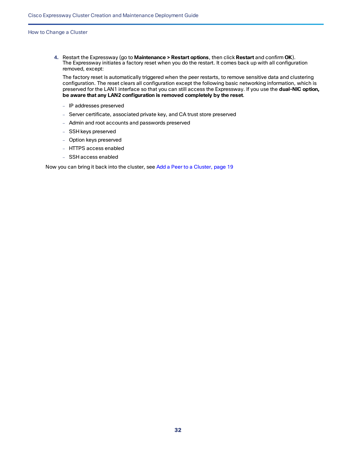**4.** Restart the Expressway (go to **Maintenance > Restart options**, then click **Restart** and confirm **OK**). The Expressway initiates a factory reset when you do the restart. It comes back up with all configuration removed, except:

The factory reset is automatically triggered when the peer restarts, to remove sensitive data and clustering configuration. The reset clears all configuration except the following basic networking information, which is preserved for the LAN1 interface so that you can still access the Expressway. If you use the **dual-NIC option, be aware that any LAN2 configuration is removed completely by the reset**.

- IP addresses preserved
- Server certificate, associated private key, and CA trust store preserved
- Admin and root accounts and passwords preserved
- SSH keys preserved
- Option keys preserved
- HTTPS access enabled
- SSH access enabled

Now you can bring it back into the cluster, see Add a Peer to a [Cluster,](#page-18-0) page 19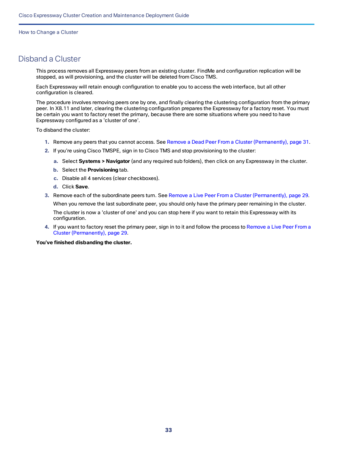## <span id="page-32-0"></span>Disband a Cluster

This process removes all Expressway peers from an existing cluster. FindMe and configuration replication will be stopped, as will provisioning, and the cluster will be deleted from Cisco TMS.

Each Expressway will retain enough configuration to enable you to access the web interface, but all other configuration is cleared.

The procedure involves removing peers one by one, and finally clearing the clustering configuration from the primary peer. In X8.11 and later, clearing the clustering configuration prepares the Expressway for a factory reset. You must be certain you want to factory reset the primary, because there are some situations where you need to have Expressway configured as a 'cluster of one'.

To disband the cluster:

- **1.** Remove any peers that you cannot access. See Remove a Dead Peer From a Cluster [\(Permanently\),](#page-30-0) page 31.
- **2.** If you're using Cisco TMSPE, sign in to Cisco TMS and stop provisioning to the cluster:
	- **a.** Select **Systems > Navigator** (and any required sub folders), then click on any Expressway in the cluster.
	- **b.** Select the **Provisioning** tab.
	- **c.** Disable all 4 services (clear checkboxes).
	- **d.** Click **Save**.
- **3.** Remove each of the subordinate peers turn. See Remove a Live Peer From a Cluster [\(Permanently\),](#page-28-0) page 29. When you remove the last subordinate peer, you should only have the primary peer remaining in the cluster.

The cluster is now a 'cluster of one' and you can stop here if you want to retain this Expressway with its configuration.

**4.** If you want to factory reset the primary peer, sign in to it and follow the process to [Remove](#page-28-0) a Live Peer From a Cluster [\(Permanently\),](#page-28-0) page 29.

**You've finished disbanding the cluster.**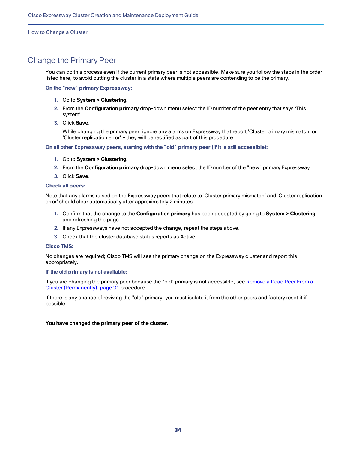## <span id="page-33-0"></span>Change the Primary Peer

You can do this process even if the current primary peer is not accessible. Make sure you follow the steps in the order listed here, to avoid putting the cluster in a state where multiple peers are contending to be the primary.

### **On the "new" primary Expressway:**

- **1.** Go to **System > Clustering**.
- **2.** From the **Configuration primary** drop-down menu select the ID number of the peer entry that says 'This system'.
- **3.** Click **Save**.

While changing the primary peer, ignore any alarms on Expressway that report 'Cluster primary mismatch' or 'Cluster replication error' – they will be rectified as part of this procedure.

**On all other Expressway peers, starting with the "old" primary peer (if it is still accessible):**

- **1.** Go to **System > Clustering**.
- **2.** From the **Configuration primary** drop-down menu select the ID number of the "new" primary Expressway.
- **3.** Click **Save**.

### **Check all peers:**

Note that any alarms raised on the Expressway peers that relate to 'Cluster primary mismatch' and 'Cluster replication error' should clear automatically after approximately 2 minutes.

- **1.** Confirm that the change to the **Configuration primary** has been accepted by going to **System > Clustering** and refreshing the page.
- **2.** If any Expressways have not accepted the change, repeat the steps above.
- **3.** Check that the cluster database status reports as Active.

## **Cisco TMS:**

No changes are required; Cisco TMS will see the primary change on the Expressway cluster and report this appropriately.

### **If the old primary is not available:**

If you are changing the primary peer because the "old" primary is not accessible, see [Remove](#page-30-0) a Dead Peer From a Cluster [\(Permanently\),](#page-30-0) page 31 procedure.

If there is any chance of reviving the "old" primary, you must isolate it from the other peers and factory reset it if possible.

#### **You have changed the primary peer of the cluster.**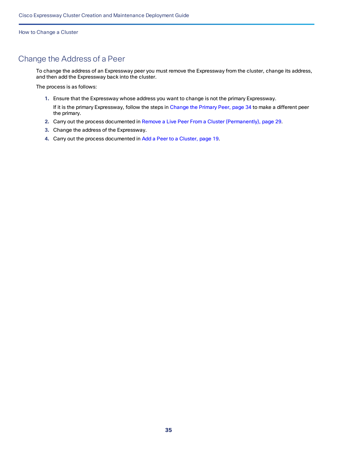## <span id="page-34-0"></span>Change the Address of a Peer

To change the address of an Expressway peer you must remove the Expressway from the cluster, change its address, and then add the Expressway back into the cluster.

The process is as follows:

**1.** Ensure that the Expressway whose address you want to change is not the primary Expressway.

If it is the primary Expressway, follow the steps in [Change](#page-33-0) the Primary Peer, page 34 to make a different peer the primary.

- **2.** Carry out the process documented in Remove a Live Peer From a Cluster [\(Permanently\),](#page-28-0) page 29.
- **3.** Change the address of the Expressway.
- **4.** Carry out the process documented in Add a Peer to a [Cluster,](#page-18-0) page 19.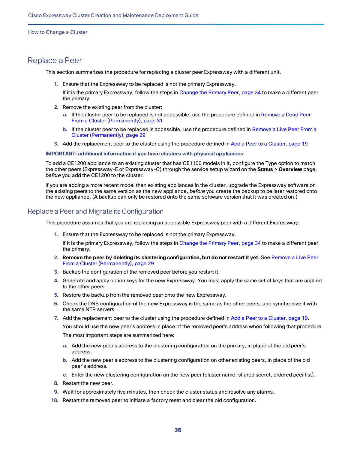## <span id="page-35-0"></span>Replace a Peer

This section summarizes the procedure for replacing a cluster peer Expressway with a different unit.

**1.** Ensure that the Expressway to be replaced is not the primary Expressway.

If it is the primary Expressway, follow the steps in [Change](#page-33-0) the Primary Peer, page 34 to make a different peer the primary.

- **2.** Remove the existing peer from the cluster:
	- **a.** If the cluster peer to be replaced is not accessible, use the procedure defined in [Remove](#page-30-0) a Dead Peer From a Cluster [\(Permanently\),](#page-30-0) page 31
	- **b.** If the cluster peer to be replaced is accessible, use the procedure defined in [Remove](#page-28-0) a Live Peer From a Cluster [\(Permanently\),](#page-28-0) page 29
- **3.** Add the replacement peer to the cluster using the procedure defined in Add a Peer to a [Cluster,](#page-18-0) page 19

**IMPORTANT: additional information if you have clusters with physical appliances**

To add a CE1200 appliance to an existing cluster that has CE1100 models in it, configure the Type option to match the other peers (Expressway-E or Expressway-C) through the service setup wizard on the **Status > Overview** page, *before* you add the CE1200 to the cluster.

If you are adding a more recent model than existing appliances in the cluster, upgrade the Expressway software on the existing peers to the same version as the new appliance, *before* you create the backup to be later restored onto the new appliance. (A backup can only be restored onto the same software version that it was created on.)

## Replace a Peer and Migrate its Configuration

This procedure assumes that you are replacing an accessible Expressway peer with a different Expressway.

**1.** Ensure that the Expressway to be replaced is not the primary Expressway.

If it is the primary Expressway, follow the steps in [Change](#page-33-0) the Primary Peer, page 34 to make a different peer the primary.

- **2. Remove the peer by deleting its clustering configuration, but do not restart it yet**. See [Remove](#page-28-0) a Live Peer From a Cluster [\(Permanently\),](#page-28-0) page 29
- **3.** Backup the configuration of the removed peer before you restart it.
- **4.** Generate and apply option keys for the new Expressway. You must apply the same set of keys that are applied to the other peers.
- **5.** Restore the backup from the removed peer onto the new Expressway.
- **6.** Check the DNS configuration of the new Expressway is the same as the other peers, and synchronize it with the same NTP servers.
- **7.** Add the replacement peer to the cluster using the procedure defined in Add a Peer to a [Cluster,](#page-18-0) page 19.

You should use the new peer's address in place of the removed peer's address when following that procedure. The most important steps are summarized here:

- **a.** Add the new peer's address to the clustering configuration on the primary, in place of the old peer's address.
- **b.** Add the new peer's address to the clustering configuration on other existing peers, in place of the old peer's address.
- **c.** Enter the new clustering configuration on the new peer (cluster name, shared secret, ordered peer list).
- **8.** Restart the new peer.
- **9.** Wait for approximately five minutes, then check the cluster status and resolve any alarms.
- **10.** Restart the removed peer to initiate a factory reset and clear the old configuration.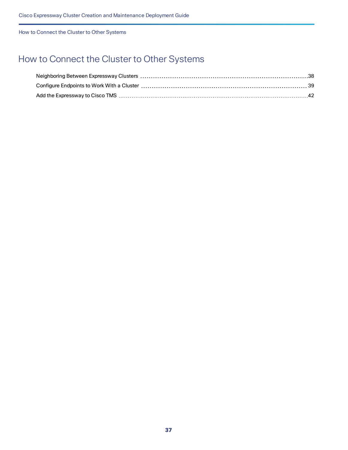## <span id="page-36-0"></span>How to Connect the Cluster to Other Systems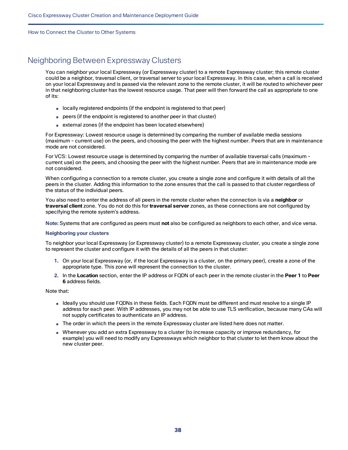## <span id="page-37-0"></span>Neighboring Between Expressway Clusters

You can neighbor your local Expressway (or Expressway cluster) to a remote Expressway cluster; this remote cluster could be a neighbor, traversal client, or traversal server to your local Expressway. In this case, when a call is received on your local Expressway and is passed via the relevant zone to the remote cluster, it will be routed to whichever peer in that neighboring cluster has the lowest resource usage. That peer will then forward the call as appropriate to one of its:

- locally registered endpoints (if the endpoint is registered to that peer)
- peers (if the endpoint is registered to another peer in that cluster)
- external zones (if the endpoint has been located elsewhere)

For Expressway: Lowest resource usage is determined by comparing the number of available media sessions (maximum - current use) on the peers, and choosing the peer with the highest number. Peers that are in maintenance mode are not considered.

For VCS: Lowest resource usage is determined by comparing the number of available traversal calls (maximum current use) on the peers, and choosing the peer with the highest number. Peers that are in maintenance mode are not considered.

When configuring a connection to a remote cluster, you create a single zone and configure it with details of all the peers in the cluster. Adding this information to the zone ensures that the call is passed to that cluster regardless of the status of the individual peers.

You also need to enter the address of all peers in the remote cluster when the connection is via a **neighbor** or **traversal client** zone. You do not do this for **traversal server** zones, as these connections are not configured by specifying the remote system's address.

**Note:** Systems that are configured as peers must **not** also be configured as neighbors to each other, and vice versa.

#### **Neighboring your clusters**

To neighbor your local Expressway (or Expressway cluster) to a remote Expressway cluster, you create a single zone to represent the cluster and configure it with the details of all the peers in that cluster:

- **1.** On your local Expressway (or, if the local Expressway is a cluster, on the primary peer), create a zone of the appropriate type. This zone will represent the connection to the cluster.
- **2.** In the **Location** section, enter the IP address or FQDN of each peer in the remote cluster in the **Peer 1** to **Peer 6** address fields.

Note that:

- Ideally you should use FQDNs in these fields. Each FQDN must be different and must resolve to a single IP address for each peer. With IP addresses, you may not be able to use TLS verification, because many CAs will not supply certificates to authenticate an IP address.
- The order in which the peers in the remote Expressway cluster are listed here does not matter.
- Whenever you add an extra Expressway to a cluster (to increase capacity or improve redundancy, for example) you will need to modify any Expressways which neighbor to that cluster to let them know about the new cluster peer.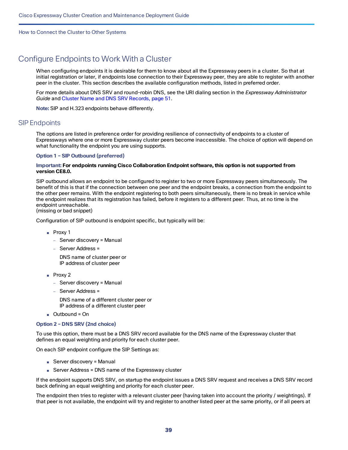## <span id="page-38-0"></span>Configure Endpoints to Work With a Cluster

When configuring endpoints it is desirable for them to know about all the Expressway peers in a cluster. So that at initial registration or later, if endpoints lose connection to their Expressway peer, they are able to register with another peer in the cluster. This section describes the available configuration methods, listed in preferred order.

For more details about DNS SRV and round-robin DNS, see the URI dialing section in the *Expressway Administrator Guide* and Cluster Name and DNS SRV [Records,](#page-50-0) page 51.

**Note:** SIP and H.323 endpoints behave differently.

## SIP Endpoints

The options are listed in preference order for providing resilience of connectivity of endpoints to a cluster of Expressways where one or more Expressway cluster peers become inaccessible. The choice of option will depend on what functionality the endpoint you are using supports.

### **Option 1 – SIP Outbound (preferred)**

### **Important: For endpoints running Cisco Collaboration Endpoint software, this option is not supported from version CE8.0.**

SIP outbound allows an endpoint to be configured to register to two or more Expressway peers simultaneously. The benefit of this is that if the connection between one peer and the endpoint breaks, a connection from the endpoint to the other peer remains. With the endpoint registering to both peers simultaneously, there is no break in service while the endpoint realizes that its registration has failed, before it registers to a different peer. Thus, at no time is the endpoint unreachable.

(missing or bad snippet)

Configuration of SIP outbound is endpoint specific, but typically will be:

- Proxy 1
	- Server discovery = Manual
	- Server Address =

DNS name of cluster peer or IP address of cluster peer

- Proxy 2
	- Server discovery = Manual
	- Server Address =

DNS name of a different cluster peer or IP address of a different cluster peer

 $\Box$  Outbound = On

#### **Option 2 – DNS SRV (2nd choice)**

To use this option, there must be a DNS SRV record available for the DNS name of the Expressway cluster that defines an equal weighting and priority for each cluster peer.

On each SIP endpoint configure the SIP Settings as:

- Server discovery = Manual
- Server Address = DNS name of the Expressway cluster

If the endpoint supports DNS SRV, on startup the endpoint issues a DNS SRV request and receives a DNS SRV record back defining an equal weighting and priority for each cluster peer.

The endpoint then tries to register with a relevant cluster peer (having taken into account the priority / weightings). If that peer is not available, the endpoint will try and register to another listed peer at the same priority, or if all peers at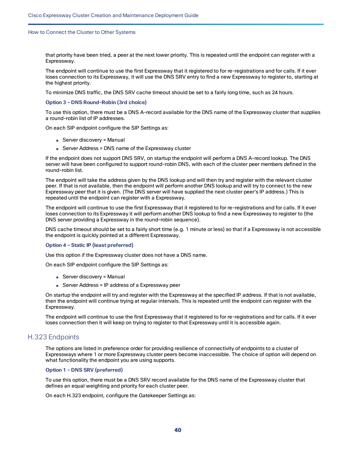that priority have been tried, a peer at the next lower priority. This is repeated until the endpoint can register with a Expressway.

The endpoint will continue to use the first Expressway that it registered to for re-registrations and for calls. If it ever loses connection to its Expressway, it will use the DNS SRV entry to find a new Expressway to register to, starting at the highest priority.

To minimize DNS traffic, the DNS SRV cache timeout should be set to a fairly long time, such as 24 hours.

#### **Option 3 – DNS Round-Robin (3rd choice)**

To use this option, there must be a DNS A-record available for the DNS name of the Expressway cluster that supplies a round-robin list of IP addresses.

On each SIP endpoint configure the SIP Settings as:

- Server discovery = Manual
- Server Address = DNS name of the Expressway cluster

If the endpoint does not support DNS SRV, on startup the endpoint will perform a DNS A-record lookup. The DNS server will have been configured to support round-robin DNS, with each of the cluster peer members defined in the round-robin list.

The endpoint will take the address given by the DNS lookup and will then try and register with the relevant cluster peer. If that is not available, then the endpoint will perform another DNS lookup and will try to connect to the new Expressway peer that it is given. (The DNS server will have supplied the next cluster peer's IP address.) This is repeated until the endpoint can register with a Expressway.

The endpoint will continue to use the first Expressway that it registered to for re-registrations and for calls. If it ever loses connection to its Expressway it will perform another DNS lookup to find a new Expressway to register to (the DNS server providing a Expressway in the round-robin sequence).

DNS cache timeout should be set to a fairly short time (e.g. 1 minute or less) so that if a Expressway is not accessible the endpoint is quickly pointed at a different Expressway.

#### **Option 4 – Static IP (least preferred)**

Use this option if the Expressway cluster does not have a DNS name.

On each SIP endpoint configure the SIP Settings as:

- Server discovery = Manual
- Server Address = IP address of a Expressway peer

On startup the endpoint will try and register with the Expressway at the specified IP address. If that is not available, then the endpoint will continue trying at regular intervals. This is repeated until the endpoint can register with the Expressway.

The endpoint will continue to use the first Expressway that it registered to for re-registrations and for calls. If it ever loses connection then it will keep on trying to register to that Expressway until it is accessible again.

## H.323 Endpoints

The options are listed in preference order for providing resilience of connectivity of endpoints to a cluster of Expressways where 1 or more Expressway cluster peers become inaccessible. The choice of option will depend on what functionality the endpoint you are using supports.

#### **Option 1 – DNS SRV (preferred)**

To use this option, there must be a DNS SRV record available for the DNS name of the Expressway cluster that defines an equal weighting and priority for each cluster peer.

On each H.323 endpoint, configure the Gatekeeper Settings as: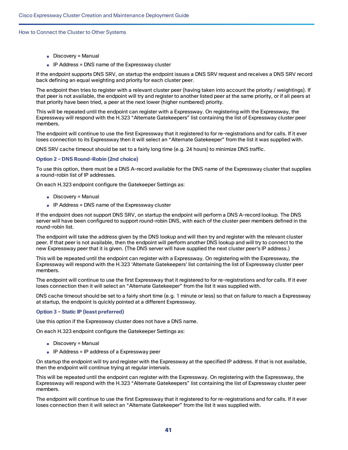- Discovery = Manual
- IP Address = DNS name of the Expressway cluster

If the endpoint supports DNS SRV, on startup the endpoint issues a DNS SRV request and receives a DNS SRV record back defining an equal weighting and priority for each cluster peer.

The endpoint then tries to register with a relevant cluster peer (having taken into account the priority / weightings). If that peer is not available, the endpoint will try and register to another listed peer at the same priority, or if all peers at that priority have been tried, a peer at the next lower (higher numbered) priority.

This will be repeated until the endpoint can register with a Expressway. On registering with the Expressway, the Expressway will respond with the H.323 "Alternate Gatekeepers" list containing the list of Expressway cluster peer members.

The endpoint will continue to use the first Expressway that it registered to for re-registrations and for calls. If it ever loses connection to its Expressway then it will select an "Alternate Gatekeeper" from the list it was supplied with.

DNS SRV cache timeout should be set to a fairly long time (e.g. 24 hours) to minimize DNS traffic.

### **Option 2 – DNS Round-Robin (2nd choice)**

To use this option, there must be a DNS A-record available for the DNS name of the Expressway cluster that supplies a round-robin list of IP addresses.

On each H.323 endpoint configure the Gatekeeper Settings as:

- Discovery = Manual
- IP Address = DNS name of the Expressway cluster

If the endpoint does not support DNS SRV, on startup the endpoint will perform a DNS A-record lookup. The DNS server will have been configured to support round-robin DNS, with each of the cluster peer members defined in the round-robin list.

The endpoint will take the address given by the DNS lookup and will then try and register with the relevant cluster peer. If that peer is not available, then the endpoint will perform another DNS lookup and will try to connect to the new Expressway peer that it is given. (The DNS server will have supplied the next cluster peer's IP address.)

This will be repeated until the endpoint can register with a Expressway. On registering with the Expressway, the Expressway will respond with the H.323 'Alternate Gatekeepers' list containing the list of Expressway cluster peer members.

The endpoint will continue to use the first Expressway that it registered to for re-registrations and for calls. If it ever loses connection then it will select an "Alternate Gatekeeper" from the list it was supplied with.

DNS cache timeout should be set to a fairly short time (e.g. 1 minute or less) so that on failure to reach a Expressway at startup, the endpoint is quickly pointed at a different Expressway.

#### **Option 3 – Static IP (least preferred)**

Use this option if the Expressway cluster does not have a DNS name.

On each H.323 endpoint configure the Gatekeeper Settings as:

- Discovery = Manual
- $\blacksquare$  IP Address = IP address of a Expressway peer

On startup the endpoint will try and register with the Expressway at the specified IP address. If that is not available, then the endpoint will continue trying at regular intervals.

This will be repeated until the endpoint can register with the Expressway. On registering with the Expressway, the Expressway will respond with the H.323 "Alternate Gatekeepers" list containing the list of Expressway cluster peer members.

The endpoint will continue to use the first Expressway that it registered to for re-registrations and for calls. If it ever loses connection then it will select an "Alternate Gatekeeper" from the list it was supplied with.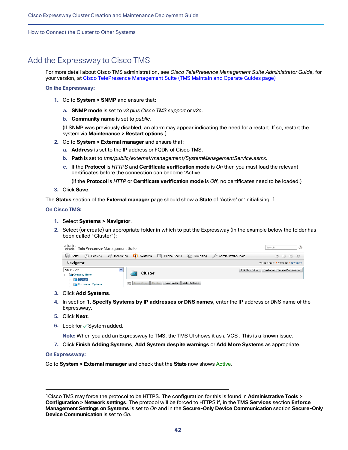## <span id="page-41-0"></span>Add the Expressway to Cisco TMS

For more detail about Cisco TMS administration, see *Cisco TelePresence Management Suite Administrator Guide*, for your version, at Cisco [TelePresence](https://www.cisco.com/c/en/us/support/conferencing/telepresence-management-suite-tms/products-maintenance-guides-list.html) Management Suite (TMS Maintain and Operate Guides page)

### **On the Expressway:**

- **1.** Go to **System > SNMP** and ensure that:
	- **a. SNMP mode** is set to *v3 plus Cisco TMS support* or *v2c*.
	- **b. Community name** is set to *public*.

(If SNMP was previously disabled, an alarm may appear indicating the need for a restart. If so, restart the system via **Maintenance > Restart options**.)

- **2.** Go to **System > External manager** and ensure that:
	- **a. Address** is set to the IP address or FQDN of Cisco TMS.
	- **b. Path** is set to *tms/public/external/management/SystemManagementService.asmx*.
	- **c.** If the **Protocol** is *HTTPS* and **Certificate verification mode** is *On* then you must load the relevant certificates before the connection can become 'Active'.

(If the **Protocol** is *HTTP* or **Certificate verification mode** is *Off*, no certificates need to be loaded.)

**3.** Click **Save**.

The **Status** section of the **External manager** page should show a **State** of 'Active' or 'Initialising'.1

### **On Cisco TMS:**

- **1.** Select **Systems > Navigator**.
- **2.** Select (or create) an appropriate folder in which to put the Expressway (in the example below the folder has been called "Cluster"):

| ahaha<br>TelePresence Management Suite<br>CISCO               |                                                                                                       | $\Omega$<br>Search                                |
|---------------------------------------------------------------|-------------------------------------------------------------------------------------------------------|---------------------------------------------------|
| $\left(1\right)$<br>司<br>Ħ<br>Portal<br>Booking<br>Monitorina | $\Box$ Systems<br><b>T</b> Phone Books<br><b>E</b> Reporting<br>Administrative Tools<br>$\rightarrow$ | $\left( 2\right)$<br>$\Box$ $\omega$<br>(L)       |
| Navigator                                                     |                                                                                                       | You are here: ▶ Systems ▶ Navigator               |
| $\checkmark$<br>Folder View<br>⊟ Company Name                 | Cluster                                                                                               | Folder and System Permissions<br>Edit This Folder |
| $\Box$ Cluster<br>Discovered Systems                          | 仓<br>Move/Copy Delete<br>New Folder<br>Add Systems                                                    |                                                   |

- **3.** Click **Add Systems**.
- **4.** In section **1. Specify Systems by IP addresses or DNS names**, enter the IP address or DNS name of the Expressway.
- **5.** Click **Next**.
- **6.** Look for √System added.

**Note:** When you add an Expressway to TMS, the TMS UI shows it as a VCS . This is a known issue.

**7.** Click **Finish Adding Systems**, **Add System despite warnings** or **Add More Systems** as appropriate.

## **On Expressway:**

Go to **System > External manager** and check that the **State** now shows Active.

<sup>1</sup>Cisco TMS may force the protocol to be HTTPS. The configuration for this is found in **Administrative Tools > Configuration > Network settings**. The protocol will be forced to HTTPS if, in the **TMS Services** section **Enforce Management Settings on Systems** is set to *On* and in the **Secure-Only Device Communication** section **Secure-Only Device Communication** is set to *On*.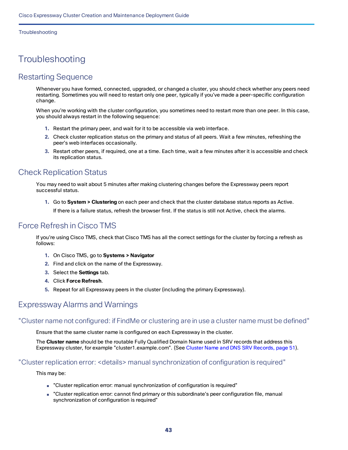### Troubleshooting

## <span id="page-42-0"></span>**Troubleshooting**

## <span id="page-42-1"></span>Restarting Sequence

Whenever you have formed, connected, upgraded, or changed a cluster, you should check whether any peers need restarting. Sometimes you will need to restart only one peer, typically if you've made a peer-specific configuration change.

When you're working with the cluster configuration, you sometimes need to restart more than one peer. In this case, you should always restart in the following sequence:

- **1.** Restart the primary peer, and wait for it to be accessible via web interface.
- **2.** Check cluster replication status on the primary and status of all peers. Wait a few minutes, refreshing the peer's web interfaces occasionally.
- **3.** Restart other peers, if required, one at a time. Each time, wait a few minutes after it is accessible and check its replication status.

## <span id="page-42-2"></span>Check Replication Status

You may need to wait about 5 minutes after making clustering changes before the Expressway peers report successful status.

**1.** Go to **System > Clustering** on each peer and check that the cluster database status reports as Active. If there is a failure status, refresh the browser first. If the status is still not Active, check the alarms.

## <span id="page-42-3"></span>Force Refresh in Cisco TMS

If you're using Cisco TMS, check that Cisco TMS has all the correct settings for the cluster by forcing a refresh as follows:

- **1.** On Cisco TMS, go to **Systems > Navigator**
- **2.** Find and click on the name of the Expressway.
- **3.** Select the **Settings** tab.
- **4.** Click **Force Refresh**.
- **5.** Repeat for all Expressway peers in the cluster (including the primary Expressway).

## <span id="page-42-4"></span>Expressway Alarms and Warnings

## "Cluster name not configured: if FindMe or clustering are in use a cluster name must be defined"

Ensure that the same cluster name is configured on each Expressway in the cluster.

The **Cluster name** should be the routable Fully Qualified Domain Name used in SRV records that address this Expressway cluster, for example "cluster1.example.com". (See Cluster Name and DNS SRV [Records,](#page-50-0) page 51).

## "Cluster replication error: <details> manual synchronization of configuration is required"

This may be:

- "Cluster replication error: manual synchronization of configuration is required"
- "Cluster replication error: cannot find primary or this subordinate's peer configuration file, manual synchronization of configuration is required"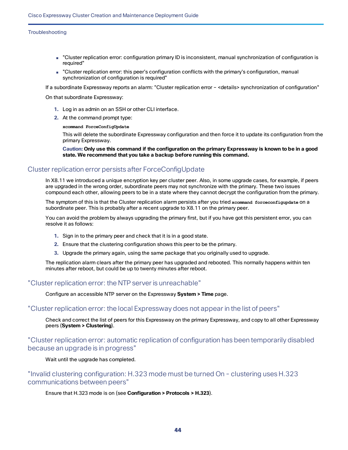### Troubleshooting

- "Cluster replication error: configuration primary ID is inconsistent, manual synchronization of configuration is required"
- "Cluster replication error: this peer's configuration conflicts with the primary's configuration, manual synchronization of configuration is required"

If a subordinate Expressway reports an alarm: "Cluster replication error – <details> synchronization of configuration"

On that subordinate Expressway:

- **1.** Log in as admin on an SSH or other CLI interface.
- **2.** At the command prompt type:
	- **xcommand ForceConfigUpdate**

This will delete the subordinate Expressway configuration and then force it to update its configuration from the primary Expressway.

Caution: Only use this command if the configuration on the primary Expressway is known to be in a good **state. We recommend that you take a backup before running this command.**

## Cluster replication error persists after ForceConfigUpdate

In X8.11 we introduced a unique encryption key per cluster peer. Also, in some upgrade cases, for example, if peers are upgraded in the wrong order, subordinate peers may not synchronize with the primary. These two issues compound each other, allowing peers to be in a state where they cannot decrypt the configuration from the primary.

The symptom of this is that the Cluster replication alarm persists after you tried **xcommand forceconfigupdate** on a subordinate peer. This is probably after a recent upgrade to X8.11 on the primary peer.

You can avoid the problem by always upgrading the primary first, but if you have got this persistent error, you can resolve it as follows:

- **1.** Sign in to the primary peer and check that it is in a good state.
- **2.** Ensure that the clustering configuration shows this peer to be the primary.
- **3.** Upgrade the primary again, using the same package that you originally used to upgrade.

The replication alarm clears after the primary peer has upgraded and rebooted. This normally happens within ten minutes after reboot, but could be up to twenty minutes after reboot.

## "Cluster replication error: the NTP server is unreachable"

Configure an accessible NTP server on the Expressway **System > Time** page.

## "Cluster replication error: the local Expressway does not appear in the list of peers"

Check and correct the list of peers for this Expressway on the primary Expressway, and copy to all other Expressway peers (**System > Clustering**).

## "Cluster replication error: automatic replication of configuration has been temporarily disabled because an upgrade is in progress"

Wait until the upgrade has completed.

"Invalid clustering configuration: H.323 mode must be turned On - clustering uses H.323 communications between peers"

## Ensure that H.323 mode is on (see **Configuration > Protocols > H.323**).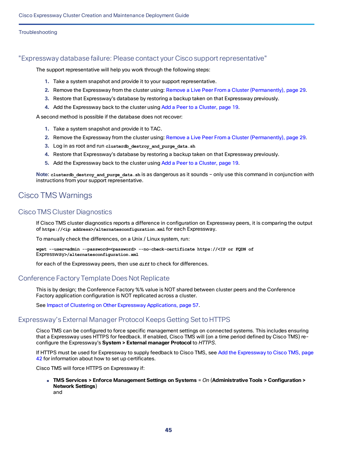Troubleshooting

## "Expressway database failure: Please contact your Cisco support representative"

The support representative will help you work through the following steps:

- **1.** Take a system snapshot and provide it to your support representative.
- **2.** Remove the Expressway from the cluster using: Remove a Live Peer From a Cluster [\(Permanently\),](#page-28-0) page 29.
- **3.** Restore that Expressway's database by restoring a backup taken on that Expressway previously.
- **4.** Add the Expressway back to the cluster using Add a Peer to a [Cluster,](#page-18-0) page 19.

A second method is possible if the database does not recover:

- **1.** Take a system snapshot and provide it to TAC.
- **2.** Remove the Expressway from the cluster using: Remove a Live Peer From a Cluster [\(Permanently\),](#page-28-0) page 29.
- **3.** Log in as root and run **clusterdb\_destroy\_and\_purge\_data.sh**
- **4.** Restore that Expressway's database by restoring a backup taken on that Expressway previously.
- **5.** Add the Expressway back to the cluster using Add a Peer to a [Cluster,](#page-18-0) page 19.

**Note**: **clusterdb\_destroy\_and\_purge\_data.sh** is as dangerous as it sounds – only use this command in conjunction with instructions from your support representative.

## <span id="page-44-0"></span>Cisco TMS Warnings

## Cisco TMS Cluster Diagnostics

If Cisco TMS cluster diagnostics reports a difference in configuration on Expressway peers, it is comparing the output of **https://<ip address>/alternatesconfiguration.xml** for each Expressway.

To manually check the differences, on a Unix / Linux system, run:

**wget --user=admin --password=<password> --no-check-certificate https://<IP or FQDN of** Expressway**>/alternatesconfiguration.xml**

for each of the Expressway peers, then use **diff** to check for differences.

## Conference Factory Template Does Not Replicate

This is by design; the Conference Factory %% value is NOT shared between cluster peers and the Conference Factory application configuration is NOT replicated across a cluster.

See Impact of Clustering on Other Expressway [Applications,](#page-56-0) page 57.

## Expressway's External Manager Protocol Keeps Getting Set to HTTPS

Cisco TMS can be configured to force specific management settings on connected systems. This includes ensuring that a Expressway uses HTTPS for feedback. If enabled, Cisco TMS will (on a time period defined by Cisco TMS) reconfigure the Expressway's **System > External manager Protocol** to *HTTPS*.

If HTTPS must be used for Expressway to supply feedback to Cisco TMS, see Add the [Expressway](#page-41-0) to Cisco TMS, page [42](#page-41-0) for information about how to set up certificates.

Cisco TMS will force HTTPS on Expressway if:

■ **TMS Services > Enforce Management Settings on Systems** = *On* (**Administrative Tools > Configuration > Network Settings**) and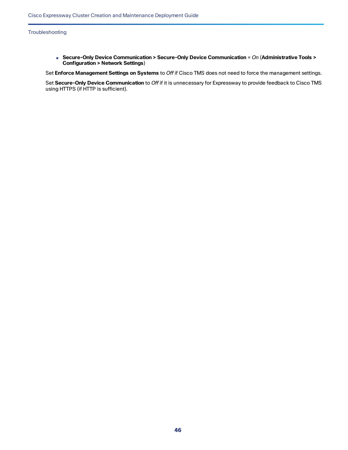■ **Secure-Only Device Communication > Secure-Only Device Communication** = *On* (**Administrative Tools > Configuration > Network Settings**)

Set **Enforce Management Settings on Systems** to *Off* if Cisco TMS does not need to force the management settings.

Set **Secure-Only Device Communication** to *Off* if it is unnecessary for Expressway to provide feedback to Cisco TMS using HTTPS (if HTTP is sufficient).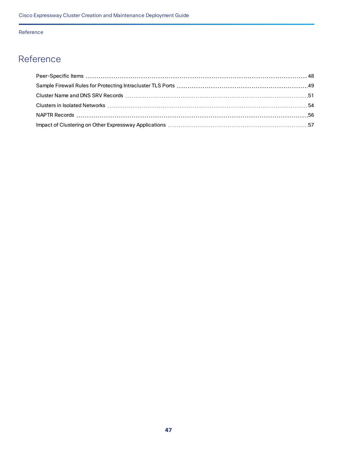## <span id="page-46-0"></span>Reference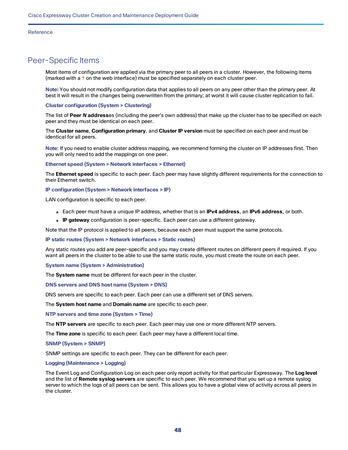## <span id="page-47-0"></span>Peer-Specific Items

Most items of configuration are applied via the primary peer to all peers in a cluster. However, the following items (marked with a  $\dagger$  on the web interface) must be specified separately on each cluster peer.

**Note:** You should not modify configuration data that applies to all peers on any peer other than the primary peer. At best it will result in the changes being overwritten from the primary; at worst it will cause cluster replication to fail.

#### **Cluster configuration (System > Clustering)**

The list of **Peer** *N* **address**es (including the peer's own address) that make up the cluster has to be specified on each peer and they must be identical on each peer.

The **Cluster name**, **Configuration primary**, and **Cluster IP version** must be specified on each peer and must be identical for all peers.

**Note**: If you need to enable cluster address mapping, we recommend forming the cluster on IP addresses first. Then you will only need to add the mappings on one peer.

**Ethernet speed (System > Network interfaces > Ethernet)**

The **Ethernet speed** is specific to each peer. Each peer may have slightly different requirements for the connection to their Ethernet switch.

#### **IP configuration (System > Network interfaces > IP)**

LAN configuration is specific to each peer.

- Each peer must have a unique IP address, whether that is an **IPv4 address**, an **IPv6 address**, or both.
- **IP gateway** configuration is peer-specific. Each peer can use a different gateway.

Note that the IP protocol is applied to all peers, because each peer must support the same protocols.

**IP static routes (System > Network interfaces > Static routes)**

Any static routes you add are peer-specific and you may create different routes on different peers if required. If you want all peers in the cluster to be able to use the same static route, you must create the route on each peer.

#### **System name (System > Administration)**

The **System name** must be different for each peer in the cluster.

### **DNS servers and DNS host name (System > DNS)**

DNS servers are specific to each peer. Each peer can use a different set of DNS servers.

The **System host name** and **Domain name** are specific to each peer.

#### **NTP servers and time zone (System > Time)**

The **NTP servers** are specific to each peer. Each peer may use one or more different NTP servers.

The **Time zone** is specific to each peer. Each peer may have a different local time.

**SNMP (System > SNMP)**

SNMP settings are specific to each peer. They can be different for each peer.

#### **Logging (Maintenance > Logging)**

The Event Log and Configuration Log on each peer only report activity for that particular Expressway. The **Log level** and the list of **Remote syslog servers** are specific to each peer. We recommend that you set up a remote syslog server to which the logs of all peers can be sent. This allows you to have a global view of activity across all peers in the cluster.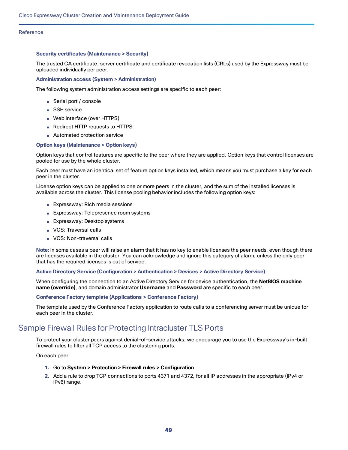#### **Security certificates (Maintenance > Security)**

The trusted CA certificate, server certificate and certificate revocation lists (CRLs) used by the Expressway must be uploaded individually per peer.

#### **Administration access (System > Administration)**

The following system administration access settings are specific to each peer:

- Serial port / console
- SSH service
- Web interface (over HTTPS)
- Redirect HTTP requests to HTTPS
- Automated protection service

#### **Option keys (Maintenance > Option keys)**

Option keys that control features are specific to the peer where they are applied. Option keys that control licenses are pooled for use by the whole cluster.

Each peer must have an identical set of feature option keys installed, which means you must purchase a key for each peer in the cluster.

License option keys can be applied to one or more peers in the cluster, and the sum of the installed licenses is available across the cluster. This license pooling behavior includes the following option keys:

- Expressway: Rich media sessions
- Expressway: Telepresence room systems
- Expressway: Desktop systems
- VCS: Traversal calls
- VCS: Non-traversal calls

**Note:** In some cases a peer will raise an alarm that it has no key to enable licenses the peer needs, even though there are licenses available in the cluster. You can acknowledge and ignore this category of alarm, unless the only peer that has the required licenses is out of service.

**Active Directory Service (Configuration > Authentication > Devices > Active Directory Service)**

When configuring the connection to an Active Directory Service for device authentication, the **NetBIOS machine name (override)**, and domain administrator **Username** and **Password** are specific to each peer.

### **Conference Factory template (Applications > Conference Factory)**

The template used by the Conference Factory application to route calls to a conferencing server must be unique for each peer in the cluster.

## <span id="page-48-0"></span>Sample Firewall Rules for Protecting Intracluster TLS Ports

To protect your cluster peers against denial-of-service attacks, we encourage you to use the Expressway's in-built firewall rules to filter all TCP access to the clustering ports.

On each peer:

- **1.** Go to **System > Protection > Firewall rules > Configuration**.
- **2.** Add a rule to drop TCP connections to ports 4371 and 4372, for all IP addresses in the appropriate (IPv4 or IPv6) range.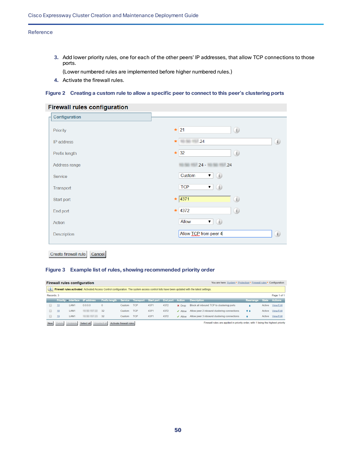**3.** Add lower priority rules, one for each of the other peers' IP addresses, that allow TCP connections to those ports.

(Lower numbered rules are implemented before higher numbered rules.)

**4.** Activate the firewall rules.

## Figure 2 Creating a custom rule to allow a specific peer to connect to this peer's clustering ports

## **Firewall rules configuration**

| Configuration |                                  |
|---------------|----------------------------------|
|               |                                  |
| Priority      | (i)<br>$\star$ 21                |
| IP address    | (i)<br>.24<br>$\frac{1}{2}$      |
| Prefix length | (i)<br>$\star$ 32                |
| Address range | $.24 - 24$                       |
| Service       | $\bullet$ (i)<br>Custom          |
| Transport     | $\bullet$ (i)<br><b>TCP</b>      |
| Start port    | (i)<br>$\star$ 4371              |
| End port      | (i)<br>$* 4372$                  |
| Action        | $\mathbf{v}$ (i)<br><b>Allow</b> |
| Description   | (i)<br>Allow TCP from peer 4     |
|               |                                  |

Create firewall rule Cancel

## **Figure 3 Example list of rules, showing recommended priority order**

| You are here: System • Protection • Firewall rules • Configuration<br><b>Firewall rules configuration</b>                                     |    |                  |                               |                                                            |                         |            |      |      |                             |                                                                                 |           |        |                      |
|-----------------------------------------------------------------------------------------------------------------------------------------------|----|------------------|-------------------------------|------------------------------------------------------------|-------------------------|------------|------|------|-----------------------------|---------------------------------------------------------------------------------|-----------|--------|----------------------|
| Firewall rules activated: Activated Access Control configuration. The system access control lists have been updated with the latest settings. |    |                  |                               |                                                            |                         |            |      |      |                             |                                                                                 |           |        |                      |
| Records: 3                                                                                                                                    |    |                  |                               |                                                            |                         |            |      |      |                             |                                                                                 |           |        | Page 1 of 1          |
|                                                                                                                                               |    |                  | Priority Interface IP address | Prefix length Service Transport Start port End port Action |                         |            |      |      |                             | <b>Description</b>                                                              | Rearrange |        | <b>State Actions</b> |
|                                                                                                                                               | 10 | LAN <sub>1</sub> | 0.0.0.0                       | $\Omega$                                                   | Custom                  | <b>TCP</b> | 4371 | 4372 | $\times$ Drop               | Block all inbound TCP to clustering ports                                       |           | Active | View/Edit            |
|                                                                                                                                               | 18 | LAN <sub>1</sub> |                               | 32                                                         | Custom                  | <b>TCP</b> | 4371 | 4372 | $\blacktriangleright$ Allow | Allow peer 2 inbound clustering connections                                     | $+1$      | Active | View/Edit            |
|                                                                                                                                               | 19 | LAN <sub>1</sub> |                               | 32                                                         | Custom                  | <b>TCP</b> | 4371 | 4372 | $\blacktriangleright$ Allow | Allow peer 3 inbound clustering connections                                     |           | Active | View/Edit            |
| <b>New</b>                                                                                                                                    |    | <b>Undelete</b>  | Select all                    | Unselect al                                                | Activate firewall rules |            |      |      |                             | Firewall rules are applied in priority order, with 1 being the highest priority |           |        |                      |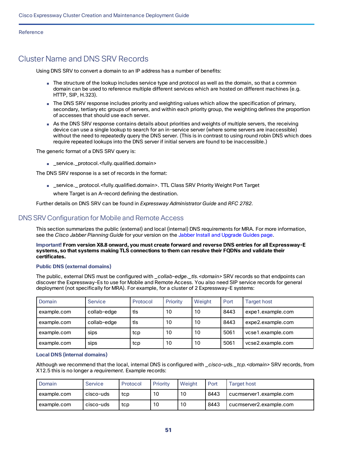## <span id="page-50-0"></span>Cluster Name and DNS SRV Records

Using DNS SRV to convert a domain to an IP address has a number of benefits:

- The structure of the lookup includes service type and protocol as well as the domain, so that a common domain can be used to reference multiple different services which are hosted on different machines (e.g. HTTP, SIP, H.323).
- The DNS SRV response includes priority and weighting values which allow the specification of primary, secondary, tertiary etc groups of servers, and within each priority group, the weighting defines the proportion of accesses that should use each server.
- As the DNS SRV response contains details about priorities and weights of multiple servers, the receiving device can use a single lookup to search for an in-service server (where some servers are inaccessible) without the need to repeatedly query the DNS server. (This is in contrast to using round robin DNS which does require repeated lookups into the DNS server if initial servers are found to be inaccessible.)

The generic format of a DNS SRV query is:

■ \_service.\_protocol.<fully.qualified.domain>

The DNS SRV response is a set of records in the format:

■ \_service.\_ protocol.<fully.qualified.domain>. TTL Class SRV Priority Weight Port Target where Target is an A-record defining the destination.

Further details on DNS SRV can be found in *Expressway Administrator Guide* and *RFC 2782*.

## DNS SRV Configuration for Mobile and Remote Access

This section summarizes the public (external) and local (internal) DNS requirements for MRA. For more information, see the *Cisco Jabber Planning Guide* for your version on the Jabber Install and [Upgrade](http://www.cisco.com/c/en/us/support/unified-communications/jabber-windows/products-installation-guides-list.html) Guides page.

**Important! From version X8.8 onward, you must create forward and reverse DNS entries for all Expressway-E systems, so that systems making TLS connections to them can resolve their FQDNs and validate their certificates.**

#### **Public DNS (external domains)**

The public, external DNS must be configured with *\_collab-edge.\_tls.<domain>* SRV records so that endpoints can discover the Expressway-Es to use for Mobile and Remote Access. You also need SIP service records for general deployment (not specifically for MRA). For example, for a cluster of 2 Expressway-E systems:

| Domain      | Service     | Protocol | Priority | Weight | Port | <b>Target host</b> |
|-------------|-------------|----------|----------|--------|------|--------------------|
| example.com | collab-edge | tls      | 10       | 10     | 8443 | expe1.example.com  |
| example.com | collab-edge | tls      | 10       | 10     | 8443 | expe2.example.com  |
| example.com | sips        | tcp      | 10       | 10     | 5061 | vcse1.example.com  |
| example.com | sips        | tcp      | 10       | 10     | 5061 | vcse2.example.com  |

### **Local DNS (internal domains)**

Although we recommend that the local, internal DNS is configured with *\_cisco-uds.\_tcp.<domain>* SRV records, from X12.5 this is no longer a *requirement*. Example records:

| Domain      | Service   | Protocol | Priority | Weight | Port | <b>Target host</b>      |
|-------------|-----------|----------|----------|--------|------|-------------------------|
| example.com | cisco-uds | tcp      | 10       | 10     | 8443 | cucmserver1.example.com |
| example.com | cisco-uds | tcp      | 10       | 10     | 8443 | cucmserver2.example.com |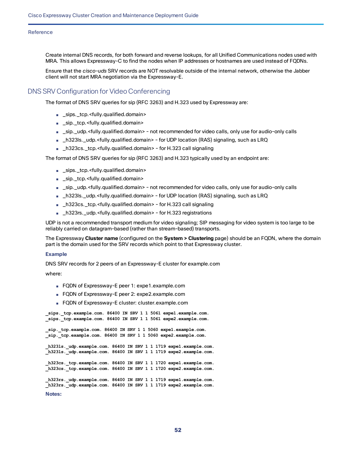Create internal DNS records, for both forward and reverse lookups, for all Unified Communications nodes used with MRA. This allows Expressway-C to find the nodes when IP addresses or hostnames are used instead of FQDNs.

Ensure that the *cisco-uds* SRV records are NOT resolvable outside of the internal network, otherwise the Jabber client will not start MRA negotiation via the Expressway-E.

## DNS SRV Configuration for Video Conferencing

The format of DNS SRV queries for sip (RFC 3263) and H.323 used by Expressway are:

- \_sips.\_tcp.<fully.qualified.domain>
- \_sip.\_tcp.<fully.qualified.domain>
- \_sip.\_udp.<fully.qualified.domain> not recommended for video calls, only use for audio-only calls
- \_h323ls.\_udp.<fully.qualified.domain> for UDP location (RAS) signaling, such as LRQ
- \_h323cs.\_tcp.<fully.qualified.domain> for H.323 call signaling

The format of DNS SRV queries for sip (RFC 3263) and H.323 typically used by an endpoint are:

- \_sips.\_tcp.<fully.qualified.domain>
- \_sip.\_tcp.<fully.qualified.domain>
- \_sip.\_udp.<fully.qualified.domain> not recommended for video calls, only use for audio-only calls
- \_h323ls.\_udp.<fully.qualified.domain> for UDP location (RAS) signaling, such as LRQ
- \_h323cs.\_tcp.<fully.qualified.domain> for H.323 call signaling
- \_h323rs.\_udp.<fully.qualified.domain> for H.323 registrations

UDP is not a recommended transport medium for video signaling; SIP messaging for video system is too large to be reliably carried on datagram-based (rather than stream-based) transports.

The Expressway **Cluster name** (configured on the **System > Clustering** page) should be an FQDN, where the domain part is the domain used for the SRV records which point to that Expressway cluster.

#### **Example**

DNS SRV records for 2 peers of an Expressway-E cluster for example.com

where:

- FQDN of Expressway-E peer 1: expe1.example.com
- FQDN of Expressway-E peer 2: expe2.example.com
- FQDN of Expressway-E cluster: cluster.example.com

**\_sips.\_tcp.example.com. 86400 IN SRV 1 1 5061 expe1.example.com. \_sips.\_tcp.example.com. 86400 IN SRV 1 1 5061 expe2.example.com.**

**\_sip.\_tcp.example.com. 86400 IN SRV 1 1 5060 expe1.example.com. \_sip.\_tcp.example.com. 86400 IN SRV 1 1 5060 expe2.example.com.**

**\_h323ls.\_udp.example.com. 86400 IN SRV 1 1 1719 expe1.example.com. \_h323ls.\_udp.example.com. 86400 IN SRV 1 1 1719 expe2.example.com.**

**\_h323cs.\_tcp.example.com. 86400 IN SRV 1 1 1720 expe1.example.com. \_h323cs.\_tcp.example.com. 86400 IN SRV 1 1 1720 expe2.example.com.**

**\_h323rs.\_udp.example.com. 86400 IN SRV 1 1 1719 expe1.example.com. \_h323rs.\_udp.example.com. 86400 IN SRV 1 1 1719 expe2.example.com.**

**Notes:**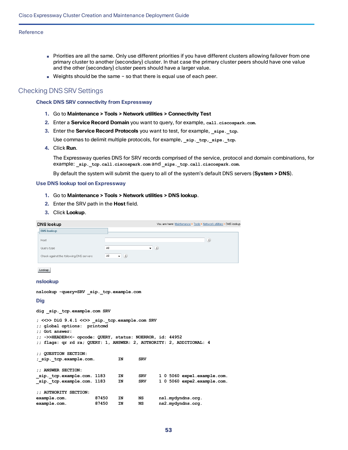- Priorities are all the same. Only use different priorities if you have different clusters allowing failover from one primary cluster to another (secondary) cluster. In that case the primary cluster peers should have one value and the other (secondary) cluster peers should have a larger value.
- Weights should be the same so that there is equal use of each peer.

## Checking DNS SRV Settings

#### **Check DNS SRV connectivity from Expressway**

- **1.** Go to **Maintenance > Tools > Network utilities > Connectivity Test**
- **2.** Enter a **Service Record Domain** you want to query, for example, **call.ciscospark.com**.
- **3.** Enter the **Service Record Protocols** you want to test, for example, **\_sips.\_tcp**.

Use commas to delimit multiple protocols, for example, **\_sip.\_tcp,\_sips.\_tcp**.

**4.** Click **Run**.

The Expressway queries DNS for SRV records comprised of the service, protocol and domain combinations, for example: **\_sip.\_tcp.call.ciscospark.com** and **\_sips.\_tcp.call.ciscospark.com**.

By default the system will submit the query to all of the system's default DNS servers (**System > DNS**).

#### **Use DNS lookup tool on Expressway**

- **1.** Go to **Maintenance > Tools > Network utilities > DNS lookup**.
- **2.** Enter the SRV path in the **Host** field.
- **3.** Click **Lookup**.

| <b>DNS lookup</b>                                                                                                                                                                                                                    |       |               |            |                   | You are here: Maintenance ▶ Tools ▶ Network utilities ▶ DNS lookup |  |
|--------------------------------------------------------------------------------------------------------------------------------------------------------------------------------------------------------------------------------------|-------|---------------|------------|-------------------|--------------------------------------------------------------------|--|
| <b>DNS lookup</b>                                                                                                                                                                                                                    |       |               |            |                   |                                                                    |  |
| Host                                                                                                                                                                                                                                 |       |               |            |                   | (i)                                                                |  |
| Query type                                                                                                                                                                                                                           | All   |               |            | $\bullet$ (i)     |                                                                    |  |
| Check against the following DNS servers                                                                                                                                                                                              | All   | $\bullet$ (i) |            |                   |                                                                    |  |
| Lookup                                                                                                                                                                                                                               |       |               |            |                   |                                                                    |  |
| nslookup                                                                                                                                                                                                                             |       |               |            |                   |                                                                    |  |
| nslookup -query=SRV sip. tcp.example.com                                                                                                                                                                                             |       |               |            |                   |                                                                    |  |
| Dig                                                                                                                                                                                                                                  |       |               |            |                   |                                                                    |  |
| dig sip. tcp.example.com SRV                                                                                                                                                                                                         |       |               |            |                   |                                                                    |  |
| ; <<>> DiG 9.4.1 <<>> sip. tcp.example.com SRV<br>;; global options: printcmd<br>:; Got answer:<br>;; ->>HEADER<<- opcode: QUERY, status: NOERROR, id: 44952<br>;; flags: qr rd ra; QUERY: 1, ANSWER: 2, AUTHORITY: 2, ADDITIONAL: 4 |       |               |            |                   |                                                                    |  |
| : : QUESTION SECTION:                                                                                                                                                                                                                |       |               |            |                   |                                                                    |  |
| ; sip. tcp.example.com.                                                                                                                                                                                                              |       | ΙN            | <b>SRV</b> |                   |                                                                    |  |
| :: ANSWER SECTION:                                                                                                                                                                                                                   |       |               |            |                   |                                                                    |  |
| sip. tcp.example.com. 1183                                                                                                                                                                                                           |       | ΙN            | <b>SRV</b> |                   | 1 0 5060 expel.example.com.                                        |  |
| sip. tcp.example.com. 1183                                                                                                                                                                                                           |       | ΙN            | <b>SRV</b> |                   | 1 0 5060 expe2.example.com.                                        |  |
| ;; AUTHORITY SECTION:                                                                                                                                                                                                                |       |               |            |                   |                                                                    |  |
| example.com.                                                                                                                                                                                                                         | 87450 | ΤN            | NS         | ns1.mydyndns.org. |                                                                    |  |
| example.com.                                                                                                                                                                                                                         | 87450 | ΤN            | NS         | ns2.mydyndns.org. |                                                                    |  |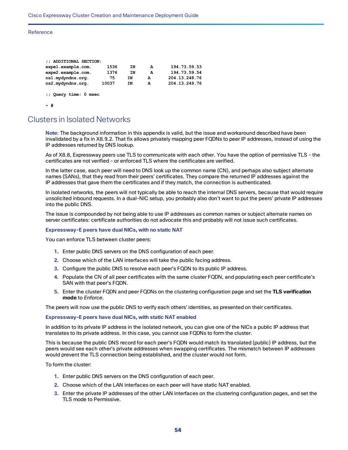| ;; ADDITIONAL SECTION: |       |    |   |               |
|------------------------|-------|----|---|---------------|
| expel.example.com.     | 1536  | ΙN | А | 194.73.59.53  |
| expe2.example.com.     | 1376  | ΙN | А | 194.73.59.54  |
| ns1.mydyndns.org.      | 75    | ΙN | А | 204.13.248.76 |
| ns2.mydyndns.org.      | 10037 | ΙN | A | 204.13.249.76 |
|                        |       |    |   |               |

**;; Query time: 0 msec**

**~ #**

## <span id="page-53-0"></span>Clusters in Isolated Networks

**Note**: The background information in this appendix is valid, but the issue and workaround described have been invalidated by a fix in X8.9.2. That fix allows privately mapping peer FQDNs to peer IP addresses, instead of using the IP addresses returned by DNS lookup.

As of X8.8, Expressway peers use TLS to communicate with each other. You have the option of permissive TLS - the certificates are not verified - or enforced TLS where the certificates are verified.

In the latter case, each peer will need to DNS look up the common name (CN), and perhaps also subject alternate names (SANs), that they read from their peers' certificates. They compare the returned IP addresses against the IP addresses that gave them the certificates and if they match, the connection is authenticated.

In isolated networks, the peers will not typically be able to reach the internal DNS servers, because that would require unsolicited inbound requests. In a dual-NIC setup, you probably also don't want to put the peers' private IP addresses into the public DNS.

The issue is compounded by not being able to use IP addresses as common names or subject alternate names on server certificates: certificate authorities do not advocate this and probably will not issue such certificates.

#### **Expressway-E peers have dual NICs, with no static NAT**

You can enforce TLS between cluster peers:

- **1.** Enter public DNS servers on the DNS configuration of each peer.
- **2.** Choose which of the LAN interfaces will take the public facing address.
- **3.** Configure the public DNS to resolve each peer's FQDN to its public IP address.
- **4.** Populate the CN of all peer certificates with the same cluster FQDN, and populating each peer certificate's SAN with that peer's FQDN.
- **5.** Enter the cluster FQDN and peer FQDNs on the clustering configuration page and set the **TLS verification mode** to *Enforce*.

The peers will now use the public DNS to verify each others' identities, as presented on their certificates.

#### **Expressway-E peers have dual NICs, with static NAT enabled**

In addition to its private IP address in the isolated network, you can give one of the NICs a public IP address that translates to its private address. In this case, you cannot use FQDNs to form the cluster.

This is because the public DNS record for each peer's FQDN would match its translated (public) IP address, but the peers would see each other's private addresses when swapping certificates. The mismatch between IP addresses would prevent the TLS connection being established, and the cluster would not form.

To form the cluster:

- **1.** Enter public DNS servers on the DNS configuration of each peer.
- **2.** Choose which of the LAN interfaces on each peer will have static NAT enabled.
- **3.** Enter the private IP addresses of the other LAN interfaces on the clustering configuration pages, and set the TLS mode to Permissive.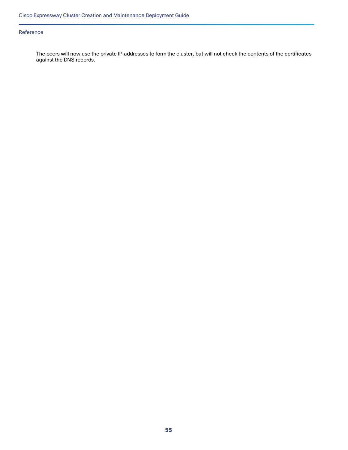The peers will now use the private IP addresses to form the cluster, but will not check the contents of the certificates against the DNS records.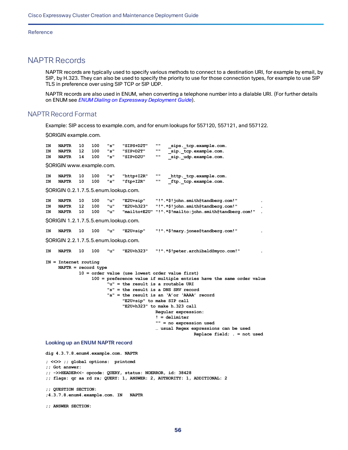## <span id="page-55-0"></span>NAPTR Records

NAPTR records are typically used to specify various methods to connect to a destination URI, for example by email, by SIP, by H.323. They can also be used to specify the priority to use for those connection types, for example to use SIP TLS in preference over using SIP TCP or SIP UDP.

NAPTR records are also used in ENUM, when converting a telephone number into a dialable URI. (For further details on ENUM see *ENUM Dialing on [Expressway](http://www.cisco.com/en/US/products/ps11337/products_installation_and_configuration_guides_list.html) Deployment Guide*).

## NAPTR Record Format

Example: SIP access to example.com, and for enum lookups for 557120, 557121, and 557122.

\$ORIGIN example.com.

| ΤN                                    | <b>NAPTR</b>                                  | 10 | 100 | "s"       | "SIPS+D2T"                                               | H H   | sips. tcp.example.com.                                               |  |
|---------------------------------------|-----------------------------------------------|----|-----|-----------|----------------------------------------------------------|-------|----------------------------------------------------------------------|--|
| ΙN                                    | <b>NAPTR</b>                                  | 12 | 100 | "s"       | "SIP+D2T"                                                | H H   | sip. tcp.example.com.                                                |  |
| ΙN                                    | <b>NAPTR</b>                                  | 14 | 100 | "s"       | "SIP+D2U"                                                | H H   | sip. udp.example.com.                                                |  |
| \$ORIGIN www.example.com.             |                                               |    |     |           |                                                          |       |                                                                      |  |
| ΤN                                    | <b>NAPTR</b>                                  | 10 | 100 | "s"       | "http+I2R"                                               | 11 II | http. tcp.example.com.                                               |  |
| ΙN                                    | <b>NAPTR</b>                                  | 10 | 100 | "s"       | "ftp+I2R"                                                | H H   | ftp. tcp.example.com.                                                |  |
| SORIGIN 0.2.1.7.5.5.enum.lookup.com.  |                                               |    |     |           |                                                          |       |                                                                      |  |
| ΙN                                    | <b>NAPTR</b>                                  | 10 | 100 | "u"       | "E2U+sip"                                                |       | "!^.*\$!john.smith@tandberg.com!"                                    |  |
| ΙN                                    | <b>NAPTR</b>                                  | 12 | 100 | יי טי     | "E2U+h323"                                               |       | "!^.*\$!john.smith@tandberg.com!"                                    |  |
| ΙN                                    | <b>NAPTR</b>                                  | 10 | 100 | יי נויי " |                                                          |       | "mailto+E2U" "!^.*\$!mailto:john.smith@tandberg.com!"                |  |
| SORIGIN 1.2.1.7.5.5.enum.lookup.com.  |                                               |    |     |           |                                                          |       |                                                                      |  |
| ΙN                                    | <b>NAPTR</b>                                  | 10 | 100 | "u"       | "E2U+sip"                                                |       | "!^.*\$!mary.jones@tandberg.com!"                                    |  |
| \$ORIGIN 2.2.1.7.5.5.enum.lookup.com. |                                               |    |     |           |                                                          |       |                                                                      |  |
| ΤN                                    | <b>NAPTR</b>                                  | 10 | 100 | יי טי     | "E2U+h323"                                               |       | "!^.*\$!peter.archibald@myco.com!"                                   |  |
| $IN = Internet$ routing               |                                               |    |     |           |                                                          |       |                                                                      |  |
|                                       | $NAPTR = record type$                         |    |     |           |                                                          |       |                                                                      |  |
|                                       |                                               |    |     |           | $10 = \text{order value}$ (use lowest order value first) |       |                                                                      |  |
|                                       |                                               |    |     |           |                                                          |       | 100 = preference value if multiple entries have the same order value |  |
| "u" = the result is a routable URI    |                                               |    |     |           |                                                          |       |                                                                      |  |
|                                       | " $s$ " = the result is a DNS SRV record      |    |     |           |                                                          |       |                                                                      |  |
|                                       | $"a" = the result is an 'A' or 'AAAA' record$ |    |     |           |                                                          |       |                                                                      |  |
| "E2U+sip" to make SIP call            |                                               |    |     |           |                                                          |       |                                                                      |  |
| "E2U+h323" to make h.323 call         |                                               |    |     |           |                                                          |       |                                                                      |  |
|                                       | Regular expression:                           |    |     |           |                                                          |       |                                                                      |  |
| $! =$ delimiter                       |                                               |    |     |           |                                                          |       |                                                                      |  |
|                                       | "" = no expression used                       |    |     |           |                                                          |       |                                                                      |  |
|                                       | usual Regex expressions can be used           |    |     |           |                                                          |       |                                                                      |  |
|                                       | Replace field; $=$ not used                   |    |     |           |                                                          |       |                                                                      |  |

#### **Looking up an ENUM NAPTR record**

**dig 4.3.7.8.enum4.example.com. NAPTR**

**; <<>> ;; global options: printcmd ;; Got answer: ;; ->>HEADER<<- opcode: QUERY, status: NOERROR, id: 38428 ;; flags: qr aa rd ra; QUERY: 1, ANSWER: 2, AUTHORITY: 1, ADDITIONAL: 2 ;; QUESTION SECTION:**

**;4.3.7.8.enum4.example.com. IN NAPTR**

**;; ANSWER SECTION:**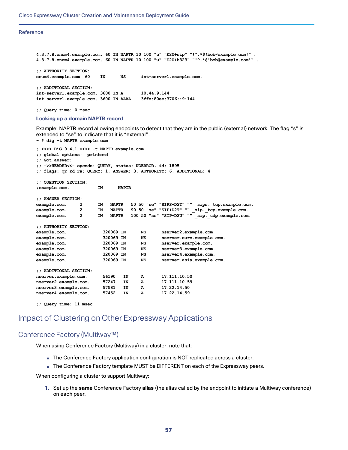```
4.3.7.8.enum4.example.com. 60 IN NAPTR 10 100 "u" "E2U+sip" "!^.*$!bob@example.com!" .
4.3.7.8.enum4.example.com. 60 IN NAPTR 10 100 "u" "E2U+h323" "!^.*$!bob@example.com!" .
;; AUTHORITY SECTION:
enum4.example.com. 60 IN NS int-server1.example.com.
;; ADDITIONAL SECTION:
int-server1.example.com. 3600 IN A 10.44.9.144
int-server1.example.com. 3600 IN AAAA 3ffe:80ee:3706::9:144
```
**;; Query time: 0 msec**

#### **Looking up a domain NAPTR record**

Example: NAPTR record allowing endpoints to detect that they are in the public (external) network. The flag "s" is extended to "se" to indicate that it is "external". **~ # dig -t NAPTR example.com**

```
; <<>> DiG 9.4.1 <<>> -t NAPTR example.com
;; global options: printcmd
;; Got answer:
;; ->>HEADER<<- opcode: QUERY, status: NOERROR, id: 1895
;; flags: qr rd ra; QUERY: 1, ANSWER: 3, AUTHORITY: 6, ADDITIONAL: 4
;; QUESTION SECTION:
;example.com. IN NAPTR
;; ANSWER SECTION:
example.com. 2 IN NAPTR 50 50 "se" "SIPS+D2T" "" _sips._tcp.example.com.
example.com. 2 IN NAPTR 90 50 "se" "SIP+D2T" "" _sip._tcp.example.com.
example.com. 2 IN NAPTR 100 50 "se" "SIP+D2U" "" _sip._udp.example.com.
;; AUTHORITY SECTION:
example.com. 320069 IN NS nserver2.example.com.<br>example.com. 320069 IN NS nserver.euro.example.
example.com. 320069 IN NS nserver.euro.example.com.<br>example.com. 320069 IN NS nserver.example.com.<br>example.com. 320069 IN NS nserver3.example.com.
                                         example.com.
example.com. 320069 IN NS nserver3.example.com.
example.com. 320069 IN NS nserver4.example.com.
example.com. 320069 IN NS nserver.asia.example.com.
;; ADDITIONAL SECTION:
nserver.example.com. 56190 IN A 17.111.10.50<br>
nserver2.example.com. 57247 IN A 17.111.10.59<br>
nserver3.example.com. 57581 IN A 17.22.14.50
nserver2.example.com. 57247 IN A 17.111.10.59
nserver3.example.com. 57581 IN A 17.22.14.50
nserver3.example.com. 57581 IN A 17.22.14.50<br>
nserver4.example.com. 57452 IN A 17.22.14.59
```
**;; Query time: 11 msec**

## <span id="page-56-0"></span>Impact of Clustering on Other Expressway Applications

## Conference Factory (Multiway™)

When using Conference Factory (Multiway) in a cluster, note that:

- The Conference Factory application configuration is NOT replicated across a cluster.
- The Conference Factory template MUST be DIFFERENT on each of the Expressway peers.

When configuring a cluster to support Multiway:

**1.** Set up the **same** Conference Factory **alias** (the alias called by the endpoint to initiate a Multiway conference) on each peer.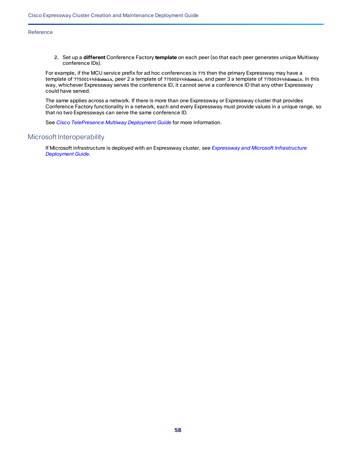**2.** Set up a **different** Conference Factory **template** on each peer (so that each peer generates unique Multiway conference IDs).

For example, if the MCU service prefix for ad hoc conferences is **775** then the primary Expressway may have a template of **775001%%@domain**, peer 2 a template of **775002%%@domain**, and peer 3 a template of **775003%%@domain**. In this way, whichever Expressway serves the conference ID, it cannot serve a conference ID that any other Expressway could have served.

The same applies across a network. If there is more than one Expressway or Expressway cluster that provides Conference Factory functionality in a network, each and every Expressway must provide values in a unique range, so that no two Expressways can serve the same conference ID.

See *Cisco [TelePresence](http://www.cisco.com/en/US/products/ps11337/products_installation_and_configuration_guides_list.html) Multiway Deployment Guide* for more information.

## Microsoft Interoperability

If Microsoft infrastructure is deployed with an Expressway cluster, see *Expressway and Microsoft [Infrastructure](http://www.cisco.com/en/US/products/ps11337/products_installation_and_configuration_guides_list.html) [Deployment](http://www.cisco.com/en/US/products/ps11337/products_installation_and_configuration_guides_list.html) Guide*.